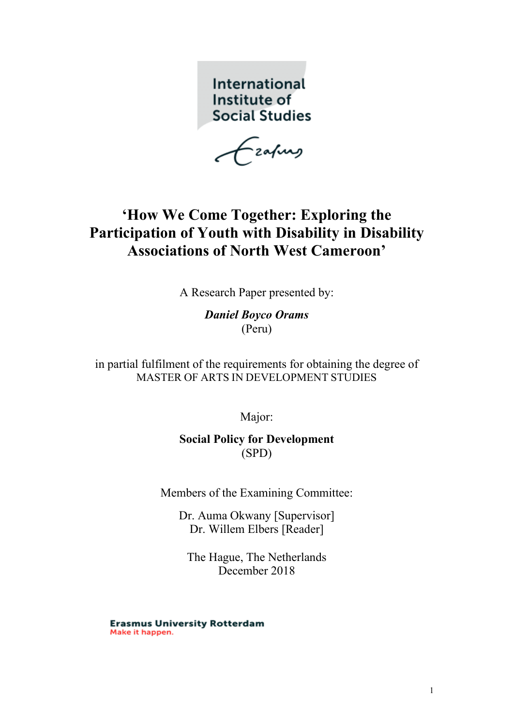International Institute of **Social Studies** 

-zafung

# **'How We Come Together: Exploring the Participation of Youth with Disability in Disability Associations of North West Cameroon'**

A Research Paper presented by:

*Daniel Boyco Orams* (Peru)

in partial fulfilment of the requirements for obtaining the degree of MASTER OF ARTS IN DEVELOPMENT STUDIES

Major:

**Social Policy for Development** (SPD)

Members of the Examining Committee:

Dr. Auma Okwany [Supervisor] Dr. Willem Elbers [Reader]

The Hague, The Netherlands December 2018

**Erasmus University Rotterdam** Make it happen.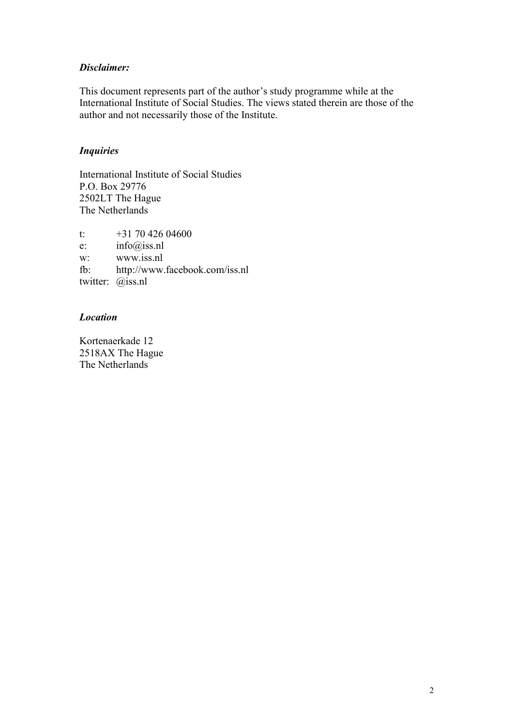## *Disclaimer:*

This document represents part of the author's study programme while at the International Institute of Social Studies. The views stated therein are those of the author and not necessarily those of the Institute.

## *Inquiries*

International Institute of Social Studies P.O. Box 29776 2502LT The Hague The Netherlands

t:  $+31\,70\,426\,04600$ e: info@iss.nl w: www.iss.nl fb: http://www.facebook.com/iss.nl twitter: @iss.nl

## *Location*

Kortenaerkade 12 2518AX The Hague The Netherlands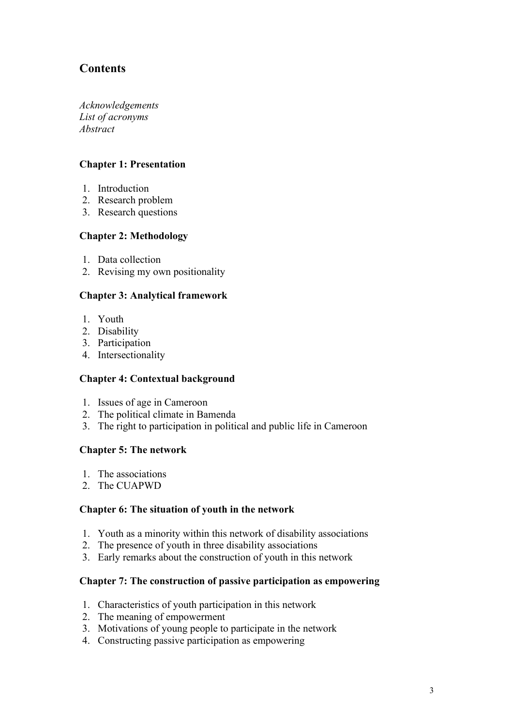## **Contents**

*Acknowledgements List of acronyms Abstract*

## **Chapter 1: Presentation**

- 1. Introduction
- 2. Research problem
- 3. Research questions

## **Chapter 2: Methodology**

- 1. Data collection
- 2. Revising my own positionality

## **Chapter 3: Analytical framework**

- 1. Youth
- 2. Disability
- 3. Participation
- 4. Intersectionality

## **Chapter 4: Contextual background**

- 1. Issues of age in Cameroon
- 2. The political climate in Bamenda
- 3. The right to participation in political and public life in Cameroon

## **Chapter 5: The network**

- 1. The associations
- 2. The CUAPWD

## **Chapter 6: The situation of youth in the network**

- 1. Youth as a minority within this network of disability associations
- 2. The presence of youth in three disability associations
- 3. Early remarks about the construction of youth in this network

## **Chapter 7: The construction of passive participation as empowering**

- 1. Characteristics of youth participation in this network
- 2. The meaning of empowerment
- 3. Motivations of young people to participate in the network
- 4. Constructing passive participation as empowering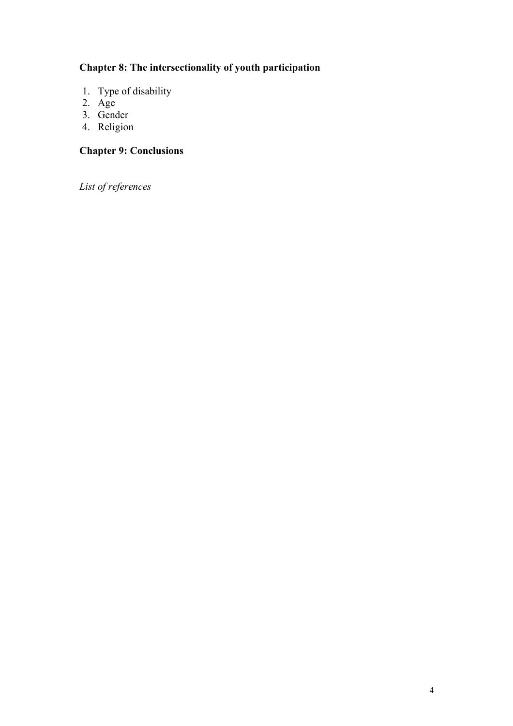## **Chapter 8: The intersectionality of youth participation**

- 1. Type of disability
- 2. Age
- 3. Gender
- 4. Religion

## **Chapter 9: Conclusions**

*List of references*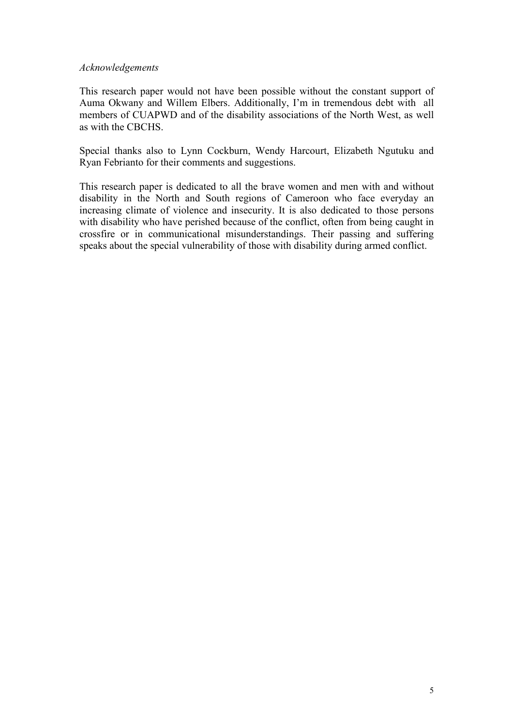#### *Acknowledgements*

This research paper would not have been possible without the constant support of Auma Okwany and Willem Elbers. Additionally, I'm in tremendous debt with all members of CUAPWD and of the disability associations of the North West, as well as with the CBCHS.

Special thanks also to Lynn Cockburn, Wendy Harcourt, Elizabeth Ngutuku and Ryan Febrianto for their comments and suggestions.

This research paper is dedicated to all the brave women and men with and without disability in the North and South regions of Cameroon who face everyday an increasing climate of violence and insecurity. It is also dedicated to those persons with disability who have perished because of the conflict, often from being caught in crossfire or in communicational misunderstandings. Their passing and suffering speaks about the special vulnerability of those with disability during armed conflict.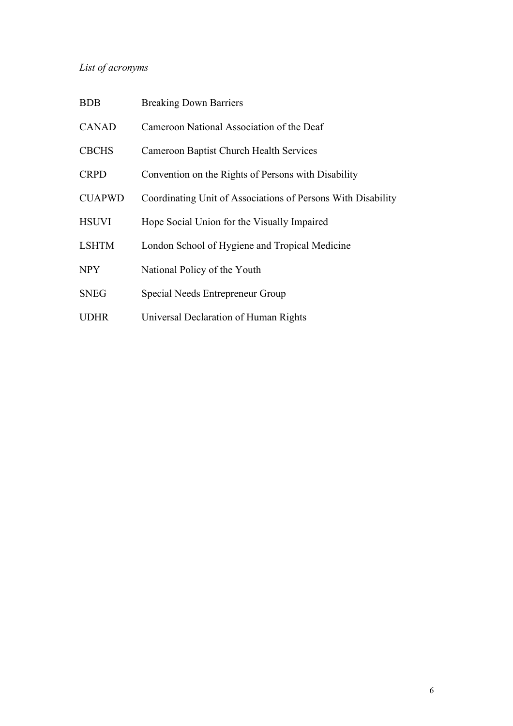## *List of acronyms*

| <b>BDB</b>    | <b>Breaking Down Barriers</b>                                |
|---------------|--------------------------------------------------------------|
| <b>CANAD</b>  | Cameroon National Association of the Deaf                    |
| <b>CBCHS</b>  | <b>Cameroon Baptist Church Health Services</b>               |
| <b>CRPD</b>   | Convention on the Rights of Persons with Disability          |
| <b>CUAPWD</b> | Coordinating Unit of Associations of Persons With Disability |
| <b>HSUVI</b>  | Hope Social Union for the Visually Impaired                  |
| <b>LSHTM</b>  | London School of Hygiene and Tropical Medicine               |
| <b>NPY</b>    | National Policy of the Youth                                 |
| <b>SNEG</b>   | Special Needs Entrepreneur Group                             |
| <b>UDHR</b>   | Universal Declaration of Human Rights                        |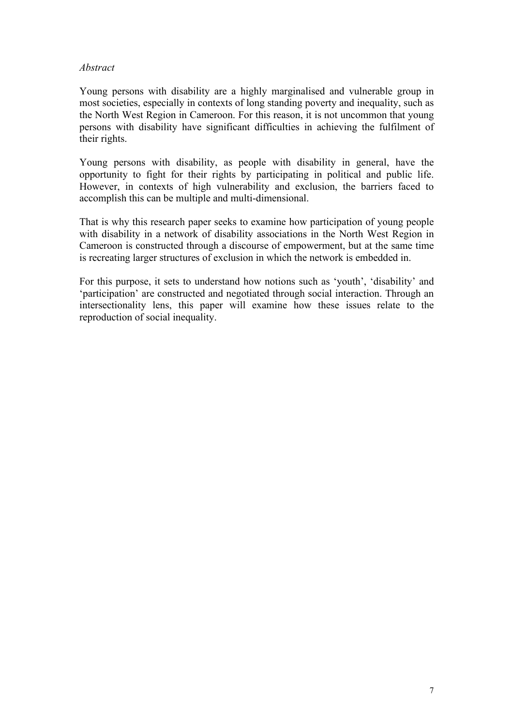## *Abstract*

Young persons with disability are a highly marginalised and vulnerable group in most societies, especially in contexts of long standing poverty and inequality, such as the North West Region in Cameroon. For this reason, it is not uncommon that young persons with disability have significant difficulties in achieving the fulfilment of their rights.

Young persons with disability, as people with disability in general, have the opportunity to fight for their rights by participating in political and public life. However, in contexts of high vulnerability and exclusion, the barriers faced to accomplish this can be multiple and multi-dimensional.

That is why this research paper seeks to examine how participation of young people with disability in a network of disability associations in the North West Region in Cameroon is constructed through a discourse of empowerment, but at the same time is recreating larger structures of exclusion in which the network is embedded in.

For this purpose, it sets to understand how notions such as 'youth', 'disability' and 'participation' are constructed and negotiated through social interaction. Through an intersectionality lens, this paper will examine how these issues relate to the reproduction of social inequality.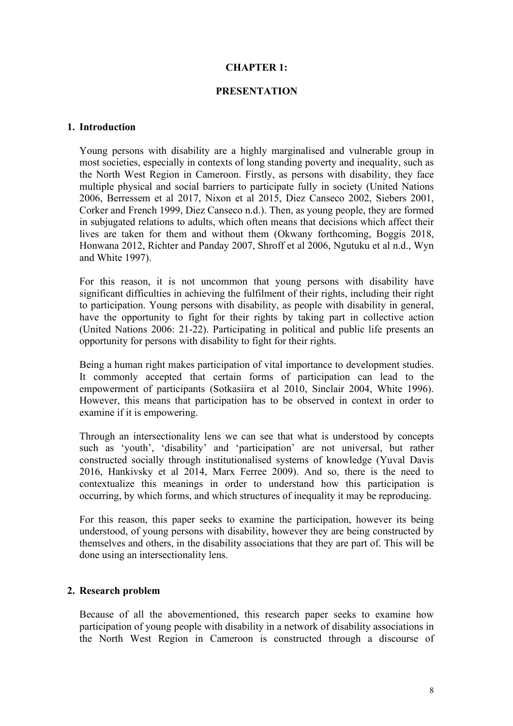### **CHAPTER 1:**

#### **PRESENTATION**

#### **1. Introduction**

Young persons with disability are a highly marginalised and vulnerable group in most societies, especially in contexts of long standing poverty and inequality, such as the North West Region in Cameroon. Firstly, as persons with disability, they face multiple physical and social barriers to participate fully in society (United Nations 2006, Berressem et al 2017, Nixon et al 2015, Diez Canseco 2002, Siebers 2001, Corker and French 1999, Diez Canseco n.d.). Then, as young people, they are formed in subjugated relations to adults, which often means that decisions which affect their lives are taken for them and without them (Okwany forthcoming, Boggis 2018, Honwana 2012, Richter and Panday 2007, Shroff et al 2006, Ngutuku et al n.d., Wyn and White 1997).

For this reason, it is not uncommon that young persons with disability have significant difficulties in achieving the fulfilment of their rights, including their right to participation. Young persons with disability, as people with disability in general, have the opportunity to fight for their rights by taking part in collective action (United Nations 2006: 21-22). Participating in political and public life presents an opportunity for persons with disability to fight for their rights.

Being a human right makes participation of vital importance to development studies. It commonly accepted that certain forms of participation can lead to the empowerment of participants (Sotkasiira et al 2010, Sinclair 2004, White 1996). However, this means that participation has to be observed in context in order to examine if it is empowering.

Through an intersectionality lens we can see that what is understood by concepts such as 'youth', 'disability' and 'participation' are not universal, but rather constructed socially through institutionalised systems of knowledge (Yuval Davis 2016, Hankivsky et al 2014, Marx Ferree 2009). And so, there is the need to contextualize this meanings in order to understand how this participation is occurring, by which forms, and which structures of inequality it may be reproducing.

For this reason, this paper seeks to examine the participation, however its being understood, of young persons with disability, however they are being constructed by themselves and others, in the disability associations that they are part of. This will be done using an intersectionality lens.

#### **2. Research problem**

Because of all the abovementioned, this research paper seeks to examine how participation of young people with disability in a network of disability associations in the North West Region in Cameroon is constructed through a discourse of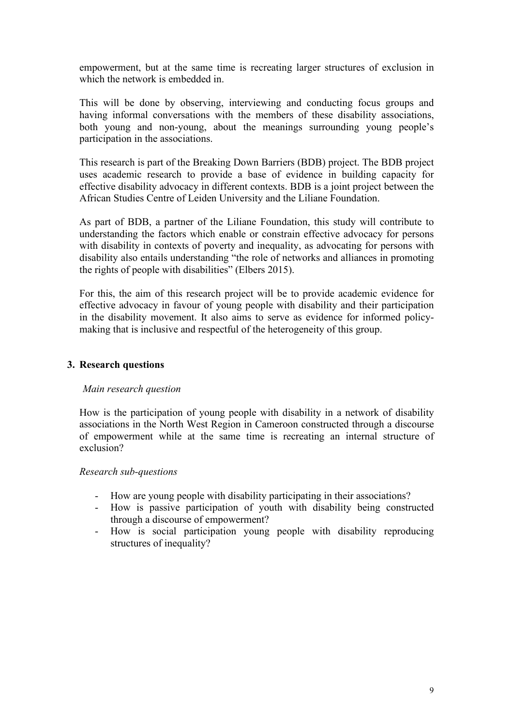empowerment, but at the same time is recreating larger structures of exclusion in which the network is embedded in.

This will be done by observing, interviewing and conducting focus groups and having informal conversations with the members of these disability associations, both young and non-young, about the meanings surrounding young people's participation in the associations.

This research is part of the Breaking Down Barriers (BDB) project. The BDB project uses academic research to provide a base of evidence in building capacity for effective disability advocacy in different contexts. BDB is a joint project between the African Studies Centre of Leiden University and the Liliane Foundation.

As part of BDB, a partner of the Liliane Foundation, this study will contribute to understanding the factors which enable or constrain effective advocacy for persons with disability in contexts of poverty and inequality, as advocating for persons with disability also entails understanding "the role of networks and alliances in promoting the rights of people with disabilities" (Elbers 2015).

For this, the aim of this research project will be to provide academic evidence for effective advocacy in favour of young people with disability and their participation in the disability movement. It also aims to serve as evidence for informed policymaking that is inclusive and respectful of the heterogeneity of this group.

## **3. Research questions**

#### *Main research question*

How is the participation of young people with disability in a network of disability associations in the North West Region in Cameroon constructed through a discourse of empowerment while at the same time is recreating an internal structure of exclusion?

#### *Research sub-questions*

- How are young people with disability participating in their associations?
- How is passive participation of youth with disability being constructed through a discourse of empowerment?
- How is social participation young people with disability reproducing structures of inequality?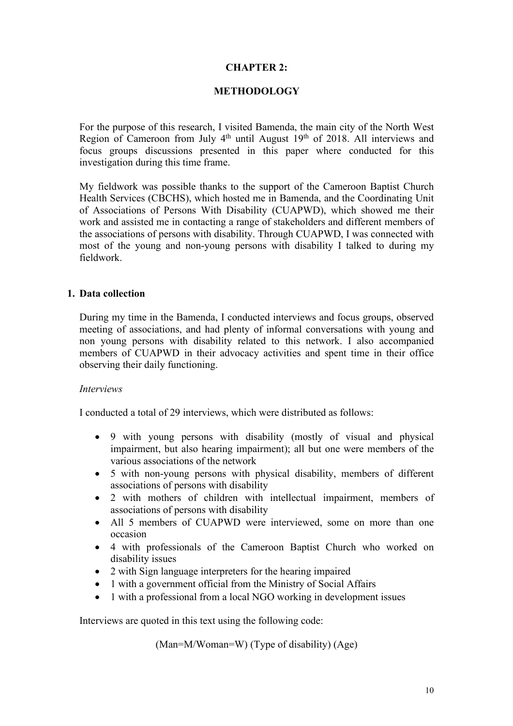## **CHAPTER 2:**

## **METHODOLOGY**

For the purpose of this research, I visited Bamenda, the main city of the North West Region of Cameroon from July  $4<sup>th</sup>$  until August 19<sup>th</sup> of 2018. All interviews and focus groups discussions presented in this paper where conducted for this investigation during this time frame.

My fieldwork was possible thanks to the support of the Cameroon Baptist Church Health Services (CBCHS), which hosted me in Bamenda, and the Coordinating Unit of Associations of Persons With Disability (CUAPWD), which showed me their work and assisted me in contacting a range of stakeholders and different members of the associations of persons with disability. Through CUAPWD, I was connected with most of the young and non-young persons with disability I talked to during my fieldwork.

## **1. Data collection**

During my time in the Bamenda, I conducted interviews and focus groups, observed meeting of associations, and had plenty of informal conversations with young and non young persons with disability related to this network. I also accompanied members of CUAPWD in their advocacy activities and spent time in their office observing their daily functioning.

#### *Interviews*

I conducted a total of 29 interviews, which were distributed as follows:

- 9 with young persons with disability (mostly of visual and physical impairment, but also hearing impairment); all but one were members of the various associations of the network
- 5 with non-young persons with physical disability, members of different associations of persons with disability
- 2 with mothers of children with intellectual impairment, members of associations of persons with disability
- All 5 members of CUAPWD were interviewed, some on more than one occasion
- 4 with professionals of the Cameroon Baptist Church who worked on disability issues
- 2 with Sign language interpreters for the hearing impaired
- 1 with a government official from the Ministry of Social Affairs
- 1 with a professional from a local NGO working in development issues

Interviews are quoted in this text using the following code:

(Man=M/Woman=W) (Type of disability) (Age)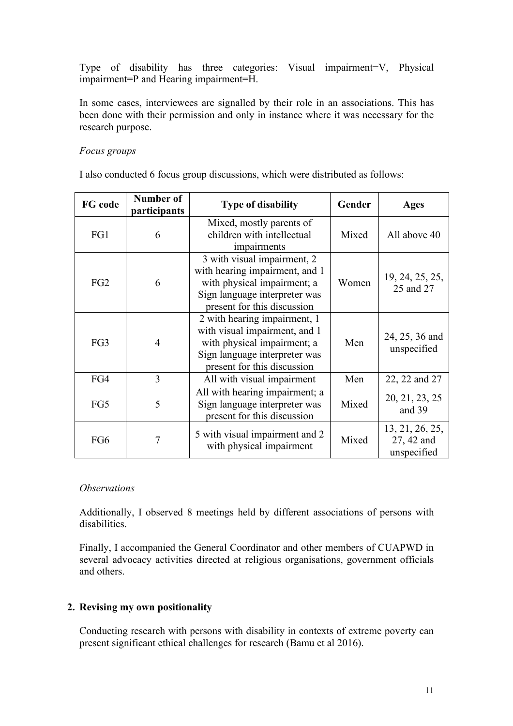Type of disability has three categories: Visual impairment=V, Physical impairment=P and Hearing impairment=H.

In some cases, interviewees are signalled by their role in an associations. This has been done with their permission and only in instance where it was necessary for the research purpose.

## *Focus groups*

I also conducted 6 focus group discussions, which were distributed as follows:

| FG code         | <b>Number of</b><br>participants | <b>Type of disability</b>                                                                                                                                    | Gender | Ages                                         |
|-----------------|----------------------------------|--------------------------------------------------------------------------------------------------------------------------------------------------------------|--------|----------------------------------------------|
| FG1             | 6                                | Mixed, mostly parents of<br>children with intellectual<br>impairments                                                                                        | Mixed  | All above 40                                 |
| FG <sub>2</sub> | 6                                | 3 with visual impairment, 2<br>with hearing impairment, and 1<br>with physical impairment; a<br>Sign language interpreter was<br>present for this discussion | Women  | 19, 24, 25, 25,<br>25 and 27                 |
| FG3             | $\overline{4}$                   | 2 with hearing impairment, 1<br>with visual impairment, and 1<br>with physical impairment; a<br>Sign language interpreter was<br>present for this discussion | Men    | 24, 25, 36 and<br>unspecified                |
| FG4             | 3                                | All with visual impairment                                                                                                                                   | Men    | 22, 22 and 27                                |
| FG5             | 5                                | All with hearing impairment; a<br>Sign language interpreter was<br>present for this discussion                                                               | Mixed  | 20, 21, 23, 25<br>and 39                     |
| FG6             | 7                                | 5 with visual impairment and 2<br>with physical impairment                                                                                                   | Mixed  | 13, 21, 26, 25,<br>27, 42 and<br>unspecified |

#### *Observations*

Additionally, I observed 8 meetings held by different associations of persons with disabilities.

Finally, I accompanied the General Coordinator and other members of CUAPWD in several advocacy activities directed at religious organisations, government officials and others.

## **2. Revising my own positionality**

Conducting research with persons with disability in contexts of extreme poverty can present significant ethical challenges for research (Bamu et al 2016).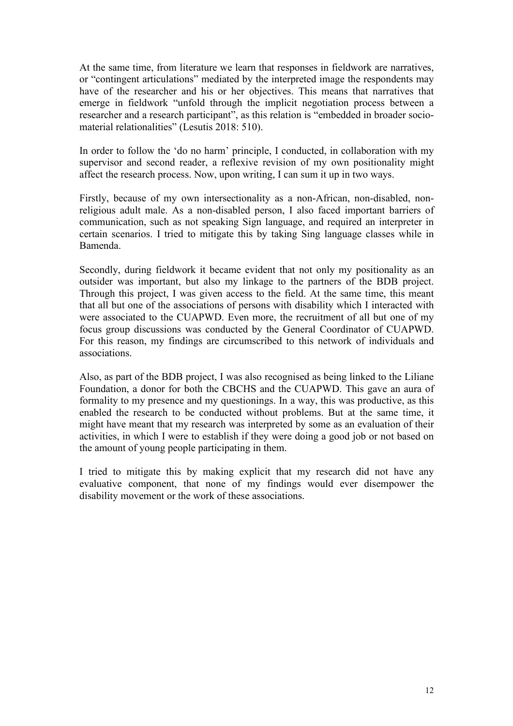At the same time, from literature we learn that responses in fieldwork are narratives, or "contingent articulations" mediated by the interpreted image the respondents may have of the researcher and his or her objectives. This means that narratives that emerge in fieldwork "unfold through the implicit negotiation process between a researcher and a research participant", as this relation is "embedded in broader sociomaterial relationalities" (Lesutis 2018: 510).

In order to follow the 'do no harm' principle, I conducted, in collaboration with my supervisor and second reader, a reflexive revision of my own positionality might affect the research process. Now, upon writing, I can sum it up in two ways.

Firstly, because of my own intersectionality as a non-African, non-disabled, nonreligious adult male. As a non-disabled person, I also faced important barriers of communication, such as not speaking Sign language, and required an interpreter in certain scenarios. I tried to mitigate this by taking Sing language classes while in Bamenda.

Secondly, during fieldwork it became evident that not only my positionality as an outsider was important, but also my linkage to the partners of the BDB project. Through this project, I was given access to the field. At the same time, this meant that all but one of the associations of persons with disability which I interacted with were associated to the CUAPWD. Even more, the recruitment of all but one of my focus group discussions was conducted by the General Coordinator of CUAPWD. For this reason, my findings are circumscribed to this network of individuals and associations.

Also, as part of the BDB project, I was also recognised as being linked to the Liliane Foundation, a donor for both the CBCHS and the CUAPWD. This gave an aura of formality to my presence and my questionings. In a way, this was productive, as this enabled the research to be conducted without problems. But at the same time, it might have meant that my research was interpreted by some as an evaluation of their activities, in which I were to establish if they were doing a good job or not based on the amount of young people participating in them.

I tried to mitigate this by making explicit that my research did not have any evaluative component, that none of my findings would ever disempower the disability movement or the work of these associations.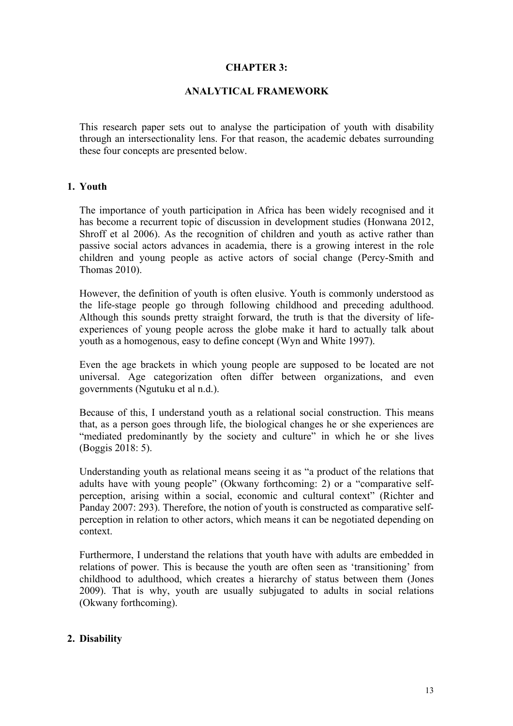## **CHAPTER 3:**

## **ANALYTICAL FRAMEWORK**

This research paper sets out to analyse the participation of youth with disability through an intersectionality lens. For that reason, the academic debates surrounding these four concepts are presented below.

#### **1. Youth**

The importance of youth participation in Africa has been widely recognised and it has become a recurrent topic of discussion in development studies (Honwana 2012, Shroff et al 2006). As the recognition of children and youth as active rather than passive social actors advances in academia, there is a growing interest in the role children and young people as active actors of social change (Percy-Smith and Thomas 2010).

However, the definition of youth is often elusive. Youth is commonly understood as the life-stage people go through following childhood and preceding adulthood. Although this sounds pretty straight forward, the truth is that the diversity of lifeexperiences of young people across the globe make it hard to actually talk about youth as a homogenous, easy to define concept (Wyn and White 1997).

Even the age brackets in which young people are supposed to be located are not universal. Age categorization often differ between organizations, and even governments (Ngutuku et al n.d.).

Because of this, I understand youth as a relational social construction. This means that, as a person goes through life, the biological changes he or she experiences are "mediated predominantly by the society and culture" in which he or she lives (Boggis 2018: 5).

Understanding youth as relational means seeing it as "a product of the relations that adults have with young people" (Okwany forthcoming: 2) or a "comparative selfperception, arising within a social, economic and cultural context" (Richter and Panday 2007: 293). Therefore, the notion of youth is constructed as comparative selfperception in relation to other actors, which means it can be negotiated depending on context.

Furthermore, I understand the relations that youth have with adults are embedded in relations of power. This is because the youth are often seen as 'transitioning' from childhood to adulthood, which creates a hierarchy of status between them (Jones 2009). That is why, youth are usually subjugated to adults in social relations (Okwany forthcoming).

#### **2. Disability**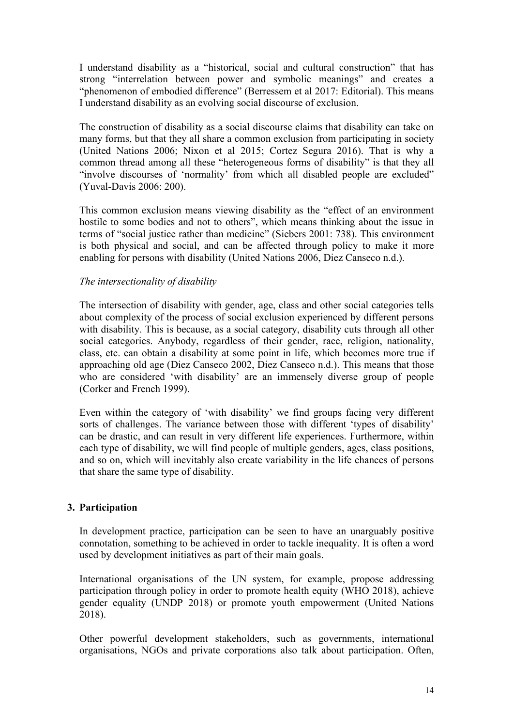I understand disability as a "historical, social and cultural construction" that has strong "interrelation between power and symbolic meanings" and creates a "phenomenon of embodied difference" (Berressem et al 2017: Editorial). This means I understand disability as an evolving social discourse of exclusion.

The construction of disability as a social discourse claims that disability can take on many forms, but that they all share a common exclusion from participating in society (United Nations 2006; Nixon et al 2015; Cortez Segura 2016). That is why a common thread among all these "heterogeneous forms of disability" is that they all "involve discourses of 'normality' from which all disabled people are excluded" (Yuval-Davis 2006: 200).

This common exclusion means viewing disability as the "effect of an environment hostile to some bodies and not to others", which means thinking about the issue in terms of "social justice rather than medicine" (Siebers 2001: 738). This environment is both physical and social, and can be affected through policy to make it more enabling for persons with disability (United Nations 2006, Diez Canseco n.d.).

## *The intersectionality of disability*

The intersection of disability with gender, age, class and other social categories tells about complexity of the process of social exclusion experienced by different persons with disability. This is because, as a social category, disability cuts through all other social categories. Anybody, regardless of their gender, race, religion, nationality, class, etc. can obtain a disability at some point in life, which becomes more true if approaching old age (Diez Canseco 2002, Diez Canseco n.d.). This means that those who are considered 'with disability' are an immensely diverse group of people (Corker and French 1999).

Even within the category of 'with disability' we find groups facing very different sorts of challenges. The variance between those with different 'types of disability' can be drastic, and can result in very different life experiences. Furthermore, within each type of disability, we will find people of multiple genders, ages, class positions, and so on, which will inevitably also create variability in the life chances of persons that share the same type of disability.

## **3. Participation**

In development practice, participation can be seen to have an unarguably positive connotation, something to be achieved in order to tackle inequality. It is often a word used by development initiatives as part of their main goals.

International organisations of the UN system, for example, propose addressing participation through policy in order to promote health equity (WHO 2018), achieve gender equality (UNDP 2018) or promote youth empowerment (United Nations 2018).

Other powerful development stakeholders, such as governments, international organisations, NGOs and private corporations also talk about participation. Often,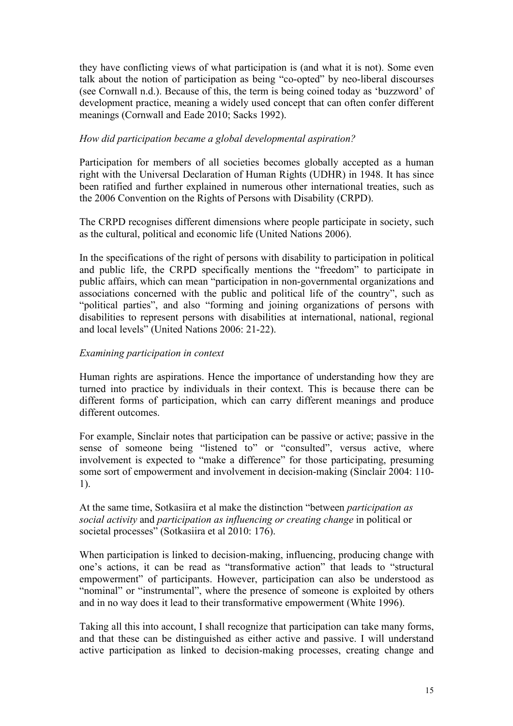they have conflicting views of what participation is (and what it is not). Some even talk about the notion of participation as being "co-opted" by neo-liberal discourses (see Cornwall n.d.). Because of this, the term is being coined today as 'buzzword' of development practice, meaning a widely used concept that can often confer different meanings (Cornwall and Eade 2010; Sacks 1992).

## *How did participation became a global developmental aspiration?*

Participation for members of all societies becomes globally accepted as a human right with the Universal Declaration of Human Rights (UDHR) in 1948. It has since been ratified and further explained in numerous other international treaties, such as the 2006 Convention on the Rights of Persons with Disability (CRPD).

The CRPD recognises different dimensions where people participate in society, such as the cultural, political and economic life (United Nations 2006).

In the specifications of the right of persons with disability to participation in political and public life, the CRPD specifically mentions the "freedom" to participate in public affairs, which can mean "participation in non-governmental organizations and associations concerned with the public and political life of the country", such as "political parties", and also "forming and joining organizations of persons with disabilities to represent persons with disabilities at international, national, regional and local levels" (United Nations 2006: 21-22).

## *Examining participation in context*

Human rights are aspirations. Hence the importance of understanding how they are turned into practice by individuals in their context. This is because there can be different forms of participation, which can carry different meanings and produce different outcomes.

For example, Sinclair notes that participation can be passive or active; passive in the sense of someone being "listened to" or "consulted", versus active, where involvement is expected to "make a difference" for those participating, presuming some sort of empowerment and involvement in decision-making (Sinclair 2004: 110- 1).

## At the same time, Sotkasiira et al make the distinction "between *participation as social activity* and *participation as influencing or creating change* in political or societal processes" (Sotkasiira et al 2010: 176).

When participation is linked to decision-making, influencing, producing change with one's actions, it can be read as "transformative action" that leads to "structural empowerment" of participants. However, participation can also be understood as "nominal" or "instrumental", where the presence of someone is exploited by others and in no way does it lead to their transformative empowerment (White 1996).

Taking all this into account, I shall recognize that participation can take many forms, and that these can be distinguished as either active and passive. I will understand active participation as linked to decision-making processes, creating change and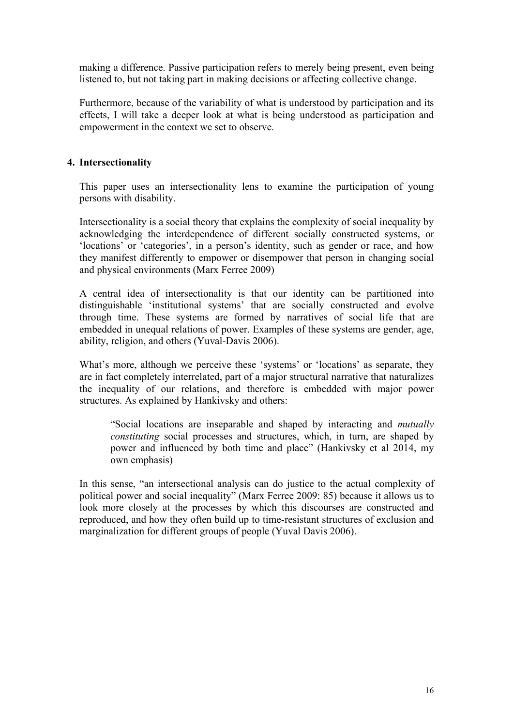making a difference. Passive participation refers to merely being present, even being listened to, but not taking part in making decisions or affecting collective change.

Furthermore, because of the variability of what is understood by participation and its effects, I will take a deeper look at what is being understood as participation and empowerment in the context we set to observe.

## **4. Intersectionality**

This paper uses an intersectionality lens to examine the participation of young persons with disability.

Intersectionality is a social theory that explains the complexity of social inequality by acknowledging the interdependence of different socially constructed systems, or 'locations' or 'categories', in a person's identity, such as gender or race, and how they manifest differently to empower or disempower that person in changing social and physical environments (Marx Ferree 2009)

A central idea of intersectionality is that our identity can be partitioned into distinguishable 'institutional systems' that are socially constructed and evolve through time. These systems are formed by narratives of social life that are embedded in unequal relations of power. Examples of these systems are gender, age, ability, religion, and others (Yuval-Davis 2006).

What's more, although we perceive these 'systems' or 'locations' as separate, they are in fact completely interrelated, part of a major structural narrative that naturalizes the inequality of our relations, and therefore is embedded with major power structures. As explained by Hankivsky and others:

"Social locations are inseparable and shaped by interacting and *mutually constituting* social processes and structures, which, in turn, are shaped by power and influenced by both time and place" (Hankivsky et al 2014, my own emphasis)

In this sense, "an intersectional analysis can do justice to the actual complexity of political power and social inequality" (Marx Ferree 2009: 85) because it allows us to look more closely at the processes by which this discourses are constructed and reproduced, and how they often build up to time-resistant structures of exclusion and marginalization for different groups of people (Yuval Davis 2006).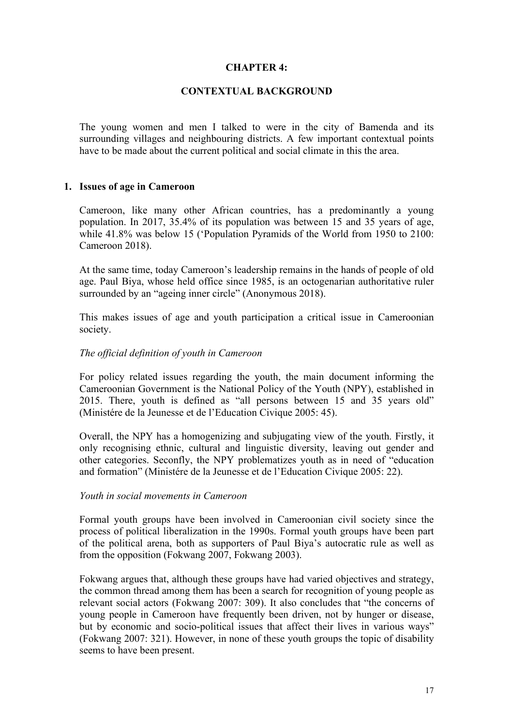### **CHAPTER 4:**

#### **CONTEXTUAL BACKGROUND**

The young women and men I talked to were in the city of Bamenda and its surrounding villages and neighbouring districts. A few important contextual points have to be made about the current political and social climate in this the area.

#### **1. Issues of age in Cameroon**

Cameroon, like many other African countries, has a predominantly a young population. In 2017, 35.4% of its population was between 15 and 35 years of age, while 41.8% was below 15 ('Population Pyramids of the World from 1950 to 2100: Cameroon 2018).

At the same time, today Cameroon's leadership remains in the hands of people of old age. Paul Biya, whose held office since 1985, is an octogenarian authoritative ruler surrounded by an "ageing inner circle" (Anonymous 2018).

This makes issues of age and youth participation a critical issue in Cameroonian society.

#### *The official definition of youth in Cameroon*

For policy related issues regarding the youth, the main document informing the Cameroonian Government is the National Policy of the Youth (NPY), established in 2015. There, youth is defined as "all persons between 15 and 35 years old" (Ministére de la Jeunesse et de l'Education Civique 2005: 45).

Overall, the NPY has a homogenizing and subjugating view of the youth. Firstly, it only recognising ethnic, cultural and linguistic diversity, leaving out gender and other categories. Seconfly, the NPY problematizes youth as in need of "education and formation" (Ministére de la Jeunesse et de l'Education Civique 2005: 22).

#### *Youth in social movements in Cameroon*

Formal youth groups have been involved in Cameroonian civil society since the process of political liberalization in the 1990s. Formal youth groups have been part of the political arena, both as supporters of Paul Biya's autocratic rule as well as from the opposition (Fokwang 2007, Fokwang 2003).

Fokwang argues that, although these groups have had varied objectives and strategy, the common thread among them has been a search for recognition of young people as relevant social actors (Fokwang 2007: 309). It also concludes that "the concerns of young people in Cameroon have frequently been driven, not by hunger or disease, but by economic and socio-political issues that affect their lives in various ways" (Fokwang 2007: 321). However, in none of these youth groups the topic of disability seems to have been present.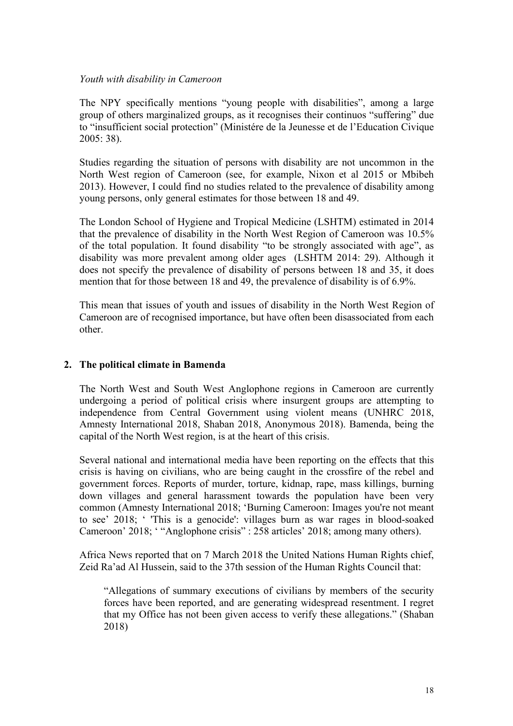#### *Youth with disability in Cameroon*

The NPY specifically mentions "young people with disabilities", among a large group of others marginalized groups, as it recognises their continuos "suffering" due to "insufficient social protection" (Ministére de la Jeunesse et de l'Education Civique 2005: 38).

Studies regarding the situation of persons with disability are not uncommon in the North West region of Cameroon (see, for example, Nixon et al 2015 or Mbibeh 2013). However, I could find no studies related to the prevalence of disability among young persons, only general estimates for those between 18 and 49.

The London School of Hygiene and Tropical Medicine (LSHTM) estimated in 2014 that the prevalence of disability in the North West Region of Cameroon was 10.5% of the total population. It found disability "to be strongly associated with age", as disability was more prevalent among older ages (LSHTM 2014: 29). Although it does not specify the prevalence of disability of persons between 18 and 35, it does mention that for those between 18 and 49, the prevalence of disability is of 6.9%.

This mean that issues of youth and issues of disability in the North West Region of Cameroon are of recognised importance, but have often been disassociated from each other.

## **2. The political climate in Bamenda**

The North West and South West Anglophone regions in Cameroon are currently undergoing a period of political crisis where insurgent groups are attempting to independence from Central Government using violent means (UNHRC 2018, Amnesty International 2018, Shaban 2018, Anonymous 2018). Bamenda, being the capital of the North West region, is at the heart of this crisis.

Several national and international media have been reporting on the effects that this crisis is having on civilians, who are being caught in the crossfire of the rebel and government forces. Reports of murder, torture, kidnap, rape, mass killings, burning down villages and general harassment towards the population have been very common (Amnesty International 2018; 'Burning Cameroon: Images you're not meant to see' 2018; ' 'This is a genocide': villages burn as war rages in blood-soaked Cameroon' 2018; ' "Anglophone crisis" : 258 articles' 2018; among many others).

Africa News reported that on 7 March 2018 the United Nations Human Rights chief, Zeid Ra'ad Al Hussein, said to the 37th session of the Human Rights Council that:

"Allegations of summary executions of civilians by members of the security forces have been reported, and are generating widespread resentment. I regret that my Office has not been given access to verify these allegations." (Shaban 2018)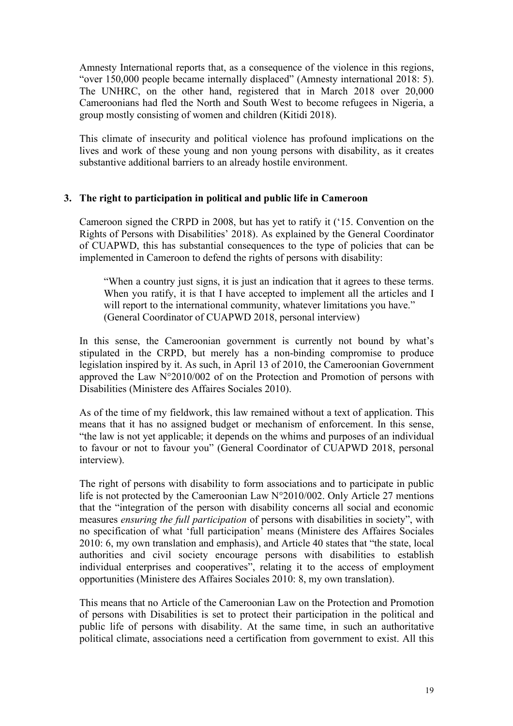Amnesty International reports that, as a consequence of the violence in this regions, "over 150,000 people became internally displaced" (Amnesty international 2018: 5). The UNHRC, on the other hand, registered that in March 2018 over 20,000 Cameroonians had fled the North and South West to become refugees in Nigeria, a group mostly consisting of women and children (Kitidi 2018).

This climate of insecurity and political violence has profound implications on the lives and work of these young and non young persons with disability, as it creates substantive additional barriers to an already hostile environment.

## **3. The right to participation in political and public life in Cameroon**

Cameroon signed the CRPD in 2008, but has yet to ratify it ('15. Convention on the Rights of Persons with Disabilities' 2018). As explained by the General Coordinator of CUAPWD, this has substantial consequences to the type of policies that can be implemented in Cameroon to defend the rights of persons with disability:

"When a country just signs, it is just an indication that it agrees to these terms. When you ratify, it is that I have accepted to implement all the articles and I will report to the international community, whatever limitations you have." (General Coordinator of CUAPWD 2018, personal interview)

In this sense, the Cameroonian government is currently not bound by what's stipulated in the CRPD, but merely has a non-binding compromise to produce legislation inspired by it. As such, in April 13 of 2010, the Cameroonian Government approved the Law N°2010/002 of on the Protection and Promotion of persons with Disabilities (Ministere des Affaires Sociales 2010).

As of the time of my fieldwork, this law remained without a text of application. This means that it has no assigned budget or mechanism of enforcement. In this sense, "the law is not yet applicable; it depends on the whims and purposes of an individual to favour or not to favour you" (General Coordinator of CUAPWD 2018, personal interview).

The right of persons with disability to form associations and to participate in public life is not protected by the Cameroonian Law N°2010/002. Only Article 27 mentions that the "integration of the person with disability concerns all social and economic measures *ensuring the full participation* of persons with disabilities in society", with no specification of what 'full participation' means (Ministere des Affaires Sociales 2010: 6, my own translation and emphasis), and Article 40 states that "the state, local authorities and civil society encourage persons with disabilities to establish individual enterprises and cooperatives", relating it to the access of employment opportunities (Ministere des Affaires Sociales 2010: 8, my own translation).

This means that no Article of the Cameroonian Law on the Protection and Promotion of persons with Disabilities is set to protect their participation in the political and public life of persons with disability. At the same time, in such an authoritative political climate, associations need a certification from government to exist. All this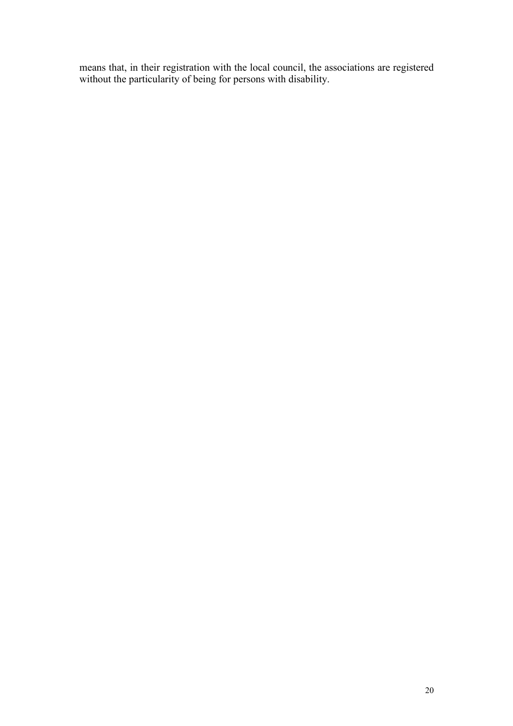means that, in their registration with the local council, the associations are registered without the particularity of being for persons with disability.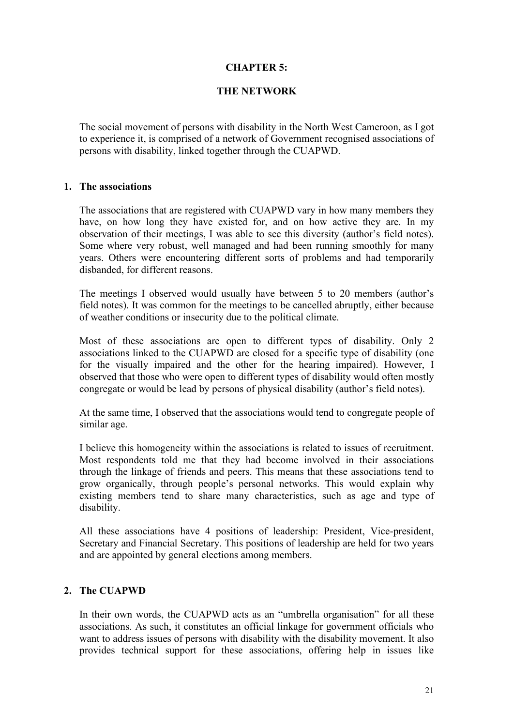## **CHAPTER 5:**

### **THE NETWORK**

The social movement of persons with disability in the North West Cameroon, as I got to experience it, is comprised of a network of Government recognised associations of persons with disability, linked together through the CUAPWD.

#### **1. The associations**

The associations that are registered with CUAPWD vary in how many members they have, on how long they have existed for, and on how active they are. In my observation of their meetings, I was able to see this diversity (author's field notes). Some where very robust, well managed and had been running smoothly for many years. Others were encountering different sorts of problems and had temporarily disbanded, for different reasons.

The meetings I observed would usually have between 5 to 20 members (author's field notes). It was common for the meetings to be cancelled abruptly, either because of weather conditions or insecurity due to the political climate.

Most of these associations are open to different types of disability. Only 2 associations linked to the CUAPWD are closed for a specific type of disability (one for the visually impaired and the other for the hearing impaired). However, I observed that those who were open to different types of disability would often mostly congregate or would be lead by persons of physical disability (author's field notes).

At the same time, I observed that the associations would tend to congregate people of similar age.

I believe this homogeneity within the associations is related to issues of recruitment. Most respondents told me that they had become involved in their associations through the linkage of friends and peers. This means that these associations tend to grow organically, through people's personal networks. This would explain why existing members tend to share many characteristics, such as age and type of disability.

All these associations have 4 positions of leadership: President, Vice-president, Secretary and Financial Secretary. This positions of leadership are held for two years and are appointed by general elections among members.

## **2. The CUAPWD**

In their own words, the CUAPWD acts as an "umbrella organisation" for all these associations. As such, it constitutes an official linkage for government officials who want to address issues of persons with disability with the disability movement. It also provides technical support for these associations, offering help in issues like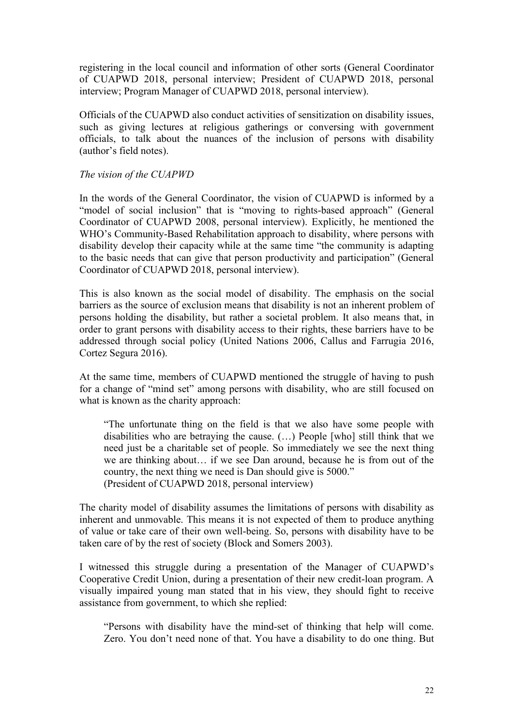registering in the local council and information of other sorts (General Coordinator of CUAPWD 2018, personal interview; President of CUAPWD 2018, personal interview; Program Manager of CUAPWD 2018, personal interview).

Officials of the CUAPWD also conduct activities of sensitization on disability issues, such as giving lectures at religious gatherings or conversing with government officials, to talk about the nuances of the inclusion of persons with disability (author's field notes).

*The vision of the CUAPWD*

In the words of the General Coordinator, the vision of CUAPWD is informed by a "model of social inclusion" that is "moving to rights-based approach" (General Coordinator of CUAPWD 2008, personal interview). Explicitly, he mentioned the WHO's Community-Based Rehabilitation approach to disability, where persons with disability develop their capacity while at the same time "the community is adapting to the basic needs that can give that person productivity and participation" (General Coordinator of CUAPWD 2018, personal interview).

This is also known as the social model of disability. The emphasis on the social barriers as the source of exclusion means that disability is not an inherent problem of persons holding the disability, but rather a societal problem. It also means that, in order to grant persons with disability access to their rights, these barriers have to be addressed through social policy (United Nations 2006, Callus and Farrugia 2016, Cortez Segura 2016).

At the same time, members of CUAPWD mentioned the struggle of having to push for a change of "mind set" among persons with disability, who are still focused on what is known as the charity approach:

"The unfortunate thing on the field is that we also have some people with disabilities who are betraying the cause. (…) People [who] still think that we need just be a charitable set of people. So immediately we see the next thing we are thinking about… if we see Dan around, because he is from out of the country, the next thing we need is Dan should give is 5000." (President of CUAPWD 2018, personal interview)

The charity model of disability assumes the limitations of persons with disability as inherent and unmovable. This means it is not expected of them to produce anything of value or take care of their own well-being. So, persons with disability have to be taken care of by the rest of society (Block and Somers 2003).

I witnessed this struggle during a presentation of the Manager of CUAPWD's Cooperative Credit Union, during a presentation of their new credit-loan program. A visually impaired young man stated that in his view, they should fight to receive assistance from government, to which she replied:

"Persons with disability have the mind-set of thinking that help will come. Zero. You don't need none of that. You have a disability to do one thing. But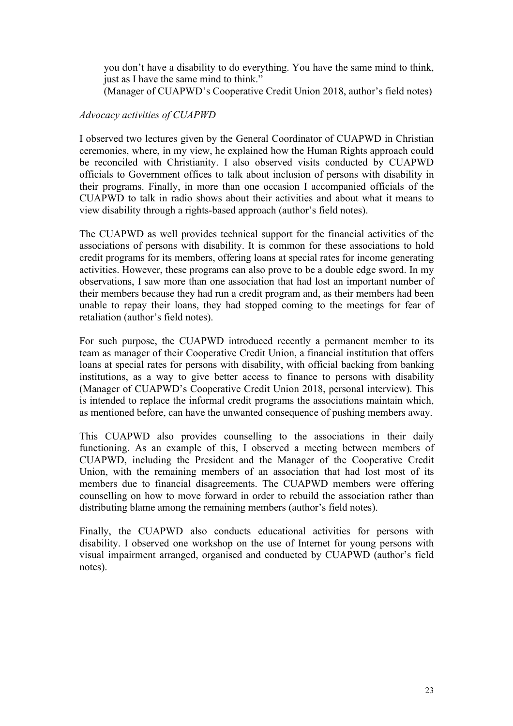you don't have a disability to do everything. You have the same mind to think, just as I have the same mind to think." (Manager of CUAPWD's Cooperative Credit Union 2018, author's field notes)

## *Advocacy activities of CUAPWD*

I observed two lectures given by the General Coordinator of CUAPWD in Christian ceremonies, where, in my view, he explained how the Human Rights approach could be reconciled with Christianity. I also observed visits conducted by CUAPWD officials to Government offices to talk about inclusion of persons with disability in their programs. Finally, in more than one occasion I accompanied officials of the CUAPWD to talk in radio shows about their activities and about what it means to view disability through a rights-based approach (author's field notes).

The CUAPWD as well provides technical support for the financial activities of the associations of persons with disability. It is common for these associations to hold credit programs for its members, offering loans at special rates for income generating activities. However, these programs can also prove to be a double edge sword. In my observations, I saw more than one association that had lost an important number of their members because they had run a credit program and, as their members had been unable to repay their loans, they had stopped coming to the meetings for fear of retaliation (author's field notes).

For such purpose, the CUAPWD introduced recently a permanent member to its team as manager of their Cooperative Credit Union, a financial institution that offers loans at special rates for persons with disability, with official backing from banking institutions, as a way to give better access to finance to persons with disability (Manager of CUAPWD's Cooperative Credit Union 2018, personal interview). This is intended to replace the informal credit programs the associations maintain which, as mentioned before, can have the unwanted consequence of pushing members away.

This CUAPWD also provides counselling to the associations in their daily functioning. As an example of this, I observed a meeting between members of CUAPWD, including the President and the Manager of the Cooperative Credit Union, with the remaining members of an association that had lost most of its members due to financial disagreements. The CUAPWD members were offering counselling on how to move forward in order to rebuild the association rather than distributing blame among the remaining members (author's field notes).

Finally, the CUAPWD also conducts educational activities for persons with disability. I observed one workshop on the use of Internet for young persons with visual impairment arranged, organised and conducted by CUAPWD (author's field notes).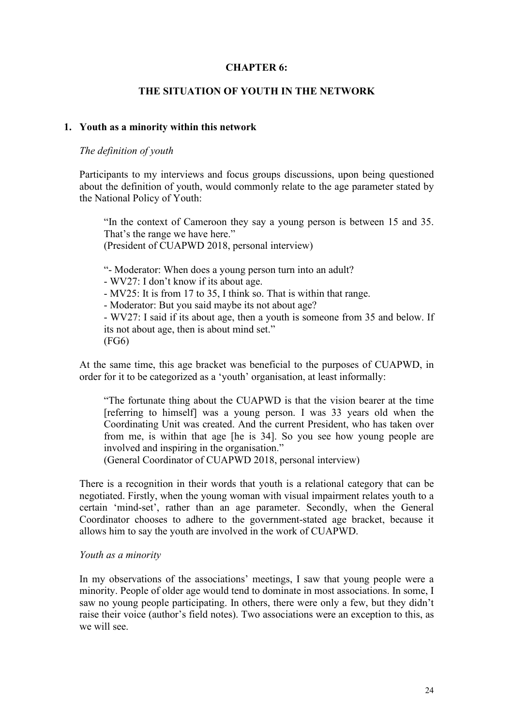### **CHAPTER 6:**

#### **THE SITUATION OF YOUTH IN THE NETWORK**

#### **1. Youth as a minority within this network**

#### *The definition of youth*

Participants to my interviews and focus groups discussions, upon being questioned about the definition of youth, would commonly relate to the age parameter stated by the National Policy of Youth:

"In the context of Cameroon they say a young person is between 15 and 35. That's the range we have here." (President of CUAPWD 2018, personal interview)

"- Moderator: When does a young person turn into an adult? - WV27: I don't know if its about age. - MV25: It is from 17 to 35, I think so. That is within that range. - Moderator: But you said maybe its not about age? - WV27: I said if its about age, then a youth is someone from 35 and below. If

its not about age, then is about mind set." (FG6)

At the same time, this age bracket was beneficial to the purposes of CUAPWD, in order for it to be categorized as a 'youth' organisation, at least informally:

"The fortunate thing about the CUAPWD is that the vision bearer at the time [referring to himself] was a young person. I was 33 years old when the Coordinating Unit was created. And the current President, who has taken over from me, is within that age [he is 34]. So you see how young people are involved and inspiring in the organisation."

(General Coordinator of CUAPWD 2018, personal interview)

There is a recognition in their words that youth is a relational category that can be negotiated. Firstly, when the young woman with visual impairment relates youth to a certain 'mind-set', rather than an age parameter. Secondly, when the General Coordinator chooses to adhere to the government-stated age bracket, because it allows him to say the youth are involved in the work of CUAPWD.

#### *Youth as a minority*

In my observations of the associations' meetings, I saw that young people were a minority. People of older age would tend to dominate in most associations. In some, I saw no young people participating. In others, there were only a few, but they didn't raise their voice (author's field notes). Two associations were an exception to this, as we will see.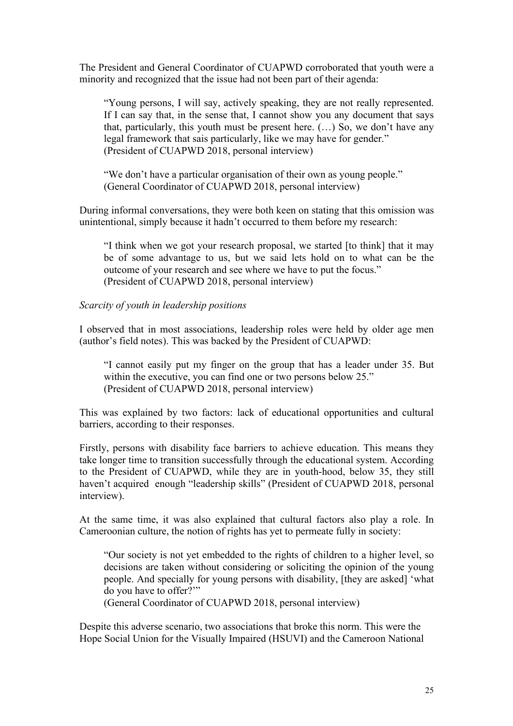The President and General Coordinator of CUAPWD corroborated that youth were a minority and recognized that the issue had not been part of their agenda:

"Young persons, I will say, actively speaking, they are not really represented. If I can say that, in the sense that, I cannot show you any document that says that, particularly, this youth must be present here.  $(...)$  So, we don't have any legal framework that sais particularly, like we may have for gender." (President of CUAPWD 2018, personal interview)

"We don't have a particular organisation of their own as young people." (General Coordinator of CUAPWD 2018, personal interview)

During informal conversations, they were both keen on stating that this omission was unintentional, simply because it hadn't occurred to them before my research:

"I think when we got your research proposal, we started [to think] that it may be of some advantage to us, but we said lets hold on to what can be the outcome of your research and see where we have to put the focus." (President of CUAPWD 2018, personal interview)

#### *Scarcity of youth in leadership positions*

I observed that in most associations, leadership roles were held by older age men (author's field notes). This was backed by the President of CUAPWD:

"I cannot easily put my finger on the group that has a leader under 35. But within the executive, you can find one or two persons below 25." (President of CUAPWD 2018, personal interview)

This was explained by two factors: lack of educational opportunities and cultural barriers, according to their responses.

Firstly, persons with disability face barriers to achieve education. This means they take longer time to transition successfully through the educational system. According to the President of CUAPWD, while they are in youth-hood, below 35, they still haven't acquired enough "leadership skills" (President of CUAPWD 2018, personal interview).

At the same time, it was also explained that cultural factors also play a role. In Cameroonian culture, the notion of rights has yet to permeate fully in society:

"Our society is not yet embedded to the rights of children to a higher level, so decisions are taken without considering or soliciting the opinion of the young people. And specially for young persons with disability, [they are asked] 'what do you have to offer?'"

(General Coordinator of CUAPWD 2018, personal interview)

Despite this adverse scenario, two associations that broke this norm. This were the Hope Social Union for the Visually Impaired (HSUVI) and the Cameroon National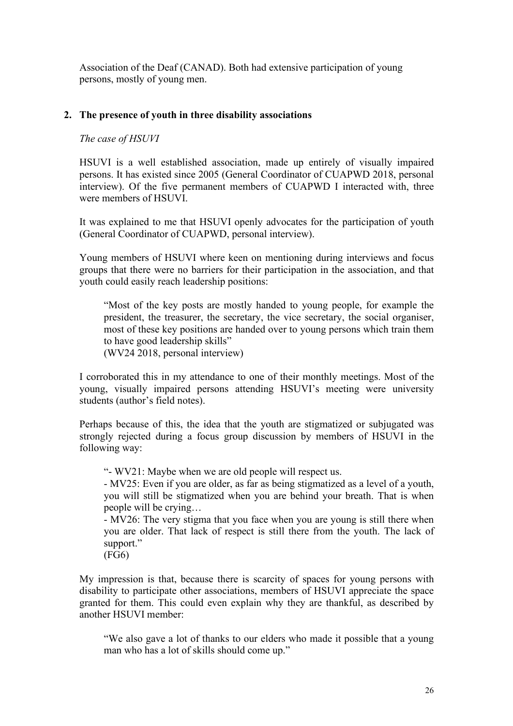Association of the Deaf (CANAD). Both had extensive participation of young persons, mostly of young men.

## **2. The presence of youth in three disability associations**

### *The case of HSUVI*

HSUVI is a well established association, made up entirely of visually impaired persons. It has existed since 2005 (General Coordinator of CUAPWD 2018, personal interview). Of the five permanent members of CUAPWD I interacted with, three were members of HSUVI.

It was explained to me that HSUVI openly advocates for the participation of youth (General Coordinator of CUAPWD, personal interview).

Young members of HSUVI where keen on mentioning during interviews and focus groups that there were no barriers for their participation in the association, and that youth could easily reach leadership positions:

"Most of the key posts are mostly handed to young people, for example the president, the treasurer, the secretary, the vice secretary, the social organiser, most of these key positions are handed over to young persons which train them to have good leadership skills" (WV24 2018, personal interview)

I corroborated this in my attendance to one of their monthly meetings. Most of the young, visually impaired persons attending HSUVI's meeting were university students (author's field notes).

Perhaps because of this, the idea that the youth are stigmatized or subjugated was strongly rejected during a focus group discussion by members of HSUVI in the following way:

"- WV21: Maybe when we are old people will respect us.

- MV25: Even if you are older, as far as being stigmatized as a level of a youth, you will still be stigmatized when you are behind your breath. That is when people will be crying…

- MV26: The very stigma that you face when you are young is still there when you are older. That lack of respect is still there from the youth. The lack of support."

(FG6)

My impression is that, because there is scarcity of spaces for young persons with disability to participate other associations, members of HSUVI appreciate the space granted for them. This could even explain why they are thankful, as described by another HSUVI member:

"We also gave a lot of thanks to our elders who made it possible that a young man who has a lot of skills should come up."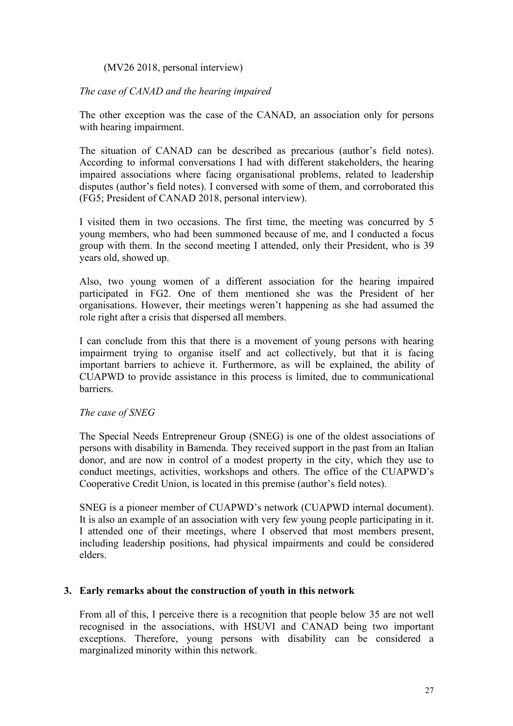(MV26 2018, personal interview)

*The case of CANAD and the hearing impaired*

The other exception was the case of the CANAD, an association only for persons with hearing impairment.

The situation of CANAD can be described as precarious (author's field notes). According to informal conversations I had with different stakeholders, the hearing impaired associations where facing organisational problems, related to leadership disputes (author's field notes). I conversed with some of them, and corroborated this (FG5; President of CANAD 2018, personal interview).

I visited them in two occasions. The first time, the meeting was concurred by 5 young members, who had been summoned because of me, and I conducted a focus group with them. In the second meeting I attended, only their President, who is 39 years old, showed up.

Also, two young women of a different association for the hearing impaired participated in FG2. One of them mentioned she was the President of her organisations. However, their meetings weren't happening as she had assumed the role right after a crisis that dispersed all members.

I can conclude from this that there is a movement of young persons with hearing impairment trying to organise itself and act collectively, but that it is facing important barriers to achieve it. Furthermore, as will be explained, the ability of CUAPWD to provide assistance in this process is limited, due to communicational barriers.

## *The case of SNEG*

The Special Needs Entrepreneur Group (SNEG) is one of the oldest associations of persons with disability in Bamenda. They received support in the past from an Italian donor, and are now in control of a modest property in the city, which they use to conduct meetings, activities, workshops and others. The office of the CUAPWD's Cooperative Credit Union, is located in this premise (author's field notes).

SNEG is a pioneer member of CUAPWD's network (CUAPWD internal document). It is also an example of an association with very few young people participating in it. I attended one of their meetings, where I observed that most members present, including leadership positions, had physical impairments and could be considered elders.

## **3. Early remarks about the construction of youth in this network**

From all of this, I perceive there is a recognition that people below 35 are not well recognised in the associations, with HSUVI and CANAD being two important exceptions. Therefore, young persons with disability can be considered a marginalized minority within this network.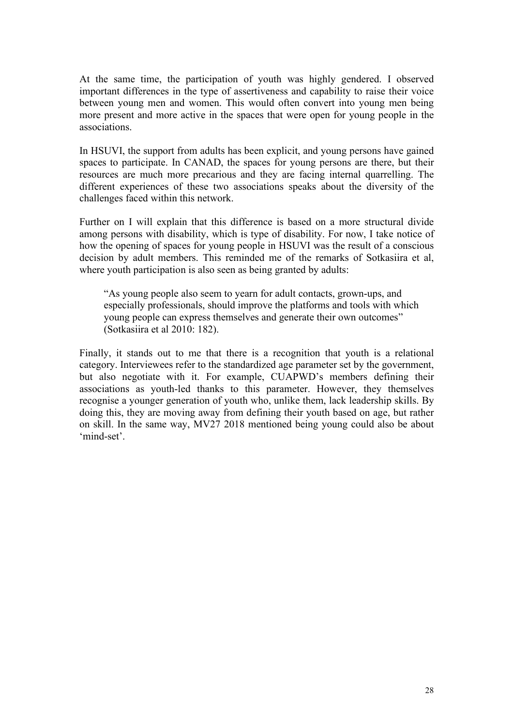At the same time, the participation of youth was highly gendered. I observed important differences in the type of assertiveness and capability to raise their voice between young men and women. This would often convert into young men being more present and more active in the spaces that were open for young people in the associations.

In HSUVI, the support from adults has been explicit, and young persons have gained spaces to participate. In CANAD, the spaces for young persons are there, but their resources are much more precarious and they are facing internal quarrelling. The different experiences of these two associations speaks about the diversity of the challenges faced within this network.

Further on I will explain that this difference is based on a more structural divide among persons with disability, which is type of disability. For now, I take notice of how the opening of spaces for young people in HSUVI was the result of a conscious decision by adult members. This reminded me of the remarks of Sotkasiira et al, where youth participation is also seen as being granted by adults:

"As young people also seem to yearn for adult contacts, grown-ups, and especially professionals, should improve the platforms and tools with which young people can express themselves and generate their own outcomes" (Sotkasiira et al 2010: 182).

Finally, it stands out to me that there is a recognition that youth is a relational category. Interviewees refer to the standardized age parameter set by the government, but also negotiate with it. For example, CUAPWD's members defining their associations as youth-led thanks to this parameter. However, they themselves recognise a younger generation of youth who, unlike them, lack leadership skills. By doing this, they are moving away from defining their youth based on age, but rather on skill. In the same way, MV27 2018 mentioned being young could also be about 'mind-set'.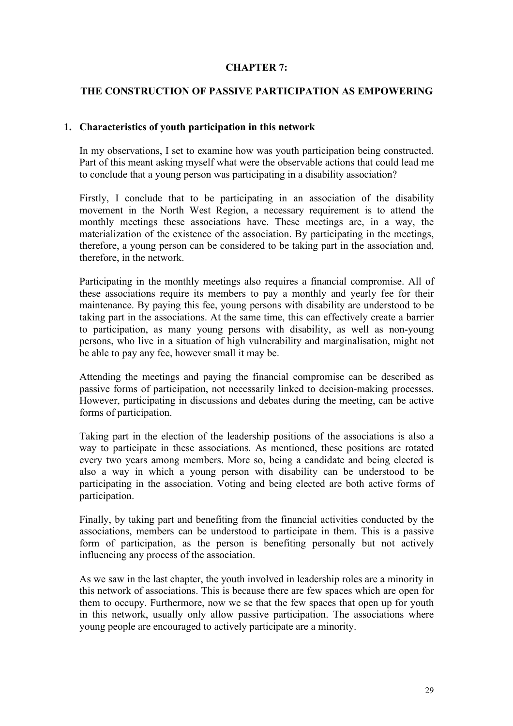## **CHAPTER 7:**

### **THE CONSTRUCTION OF PASSIVE PARTICIPATION AS EMPOWERING**

#### **1. Characteristics of youth participation in this network**

In my observations, I set to examine how was youth participation being constructed. Part of this meant asking myself what were the observable actions that could lead me to conclude that a young person was participating in a disability association?

Firstly, I conclude that to be participating in an association of the disability movement in the North West Region, a necessary requirement is to attend the monthly meetings these associations have. These meetings are, in a way, the materialization of the existence of the association. By participating in the meetings, therefore, a young person can be considered to be taking part in the association and, therefore, in the network.

Participating in the monthly meetings also requires a financial compromise. All of these associations require its members to pay a monthly and yearly fee for their maintenance. By paying this fee, young persons with disability are understood to be taking part in the associations. At the same time, this can effectively create a barrier to participation, as many young persons with disability, as well as non-young persons, who live in a situation of high vulnerability and marginalisation, might not be able to pay any fee, however small it may be.

Attending the meetings and paying the financial compromise can be described as passive forms of participation, not necessarily linked to decision-making processes. However, participating in discussions and debates during the meeting, can be active forms of participation.

Taking part in the election of the leadership positions of the associations is also a way to participate in these associations. As mentioned, these positions are rotated every two years among members. More so, being a candidate and being elected is also a way in which a young person with disability can be understood to be participating in the association. Voting and being elected are both active forms of participation.

Finally, by taking part and benefiting from the financial activities conducted by the associations, members can be understood to participate in them. This is a passive form of participation, as the person is benefiting personally but not actively influencing any process of the association.

As we saw in the last chapter, the youth involved in leadership roles are a minority in this network of associations. This is because there are few spaces which are open for them to occupy. Furthermore, now we se that the few spaces that open up for youth in this network, usually only allow passive participation. The associations where young people are encouraged to actively participate are a minority.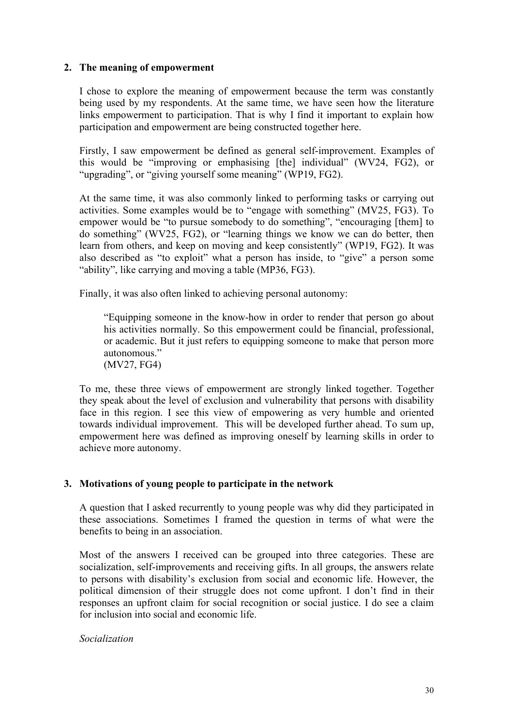## **2. The meaning of empowerment**

I chose to explore the meaning of empowerment because the term was constantly being used by my respondents. At the same time, we have seen how the literature links empowerment to participation. That is why I find it important to explain how participation and empowerment are being constructed together here.

Firstly, I saw empowerment be defined as general self-improvement. Examples of this would be "improving or emphasising [the] individual" (WV24, FG2), or "upgrading", or "giving yourself some meaning" (WP19, FG2).

At the same time, it was also commonly linked to performing tasks or carrying out activities. Some examples would be to "engage with something" (MV25, FG3). To empower would be "to pursue somebody to do something", "encouraging [them] to do something" (WV25, FG2), or "learning things we know we can do better, then learn from others, and keep on moving and keep consistently" (WP19, FG2). It was also described as "to exploit" what a person has inside, to "give" a person some "ability", like carrying and moving a table (MP36, FG3).

Finally, it was also often linked to achieving personal autonomy:

"Equipping someone in the know-how in order to render that person go about his activities normally. So this empowerment could be financial, professional, or academic. But it just refers to equipping someone to make that person more autonomous." (MV27, FG4)

To me, these three views of empowerment are strongly linked together. Together they speak about the level of exclusion and vulnerability that persons with disability face in this region. I see this view of empowering as very humble and oriented towards individual improvement. This will be developed further ahead. To sum up, empowerment here was defined as improving oneself by learning skills in order to achieve more autonomy.

## **3. Motivations of young people to participate in the network**

A question that I asked recurrently to young people was why did they participated in these associations. Sometimes I framed the question in terms of what were the benefits to being in an association.

Most of the answers I received can be grouped into three categories. These are socialization, self-improvements and receiving gifts. In all groups, the answers relate to persons with disability's exclusion from social and economic life. However, the political dimension of their struggle does not come upfront. I don't find in their responses an upfront claim for social recognition or social justice. I do see a claim for inclusion into social and economic life.

*Socialization*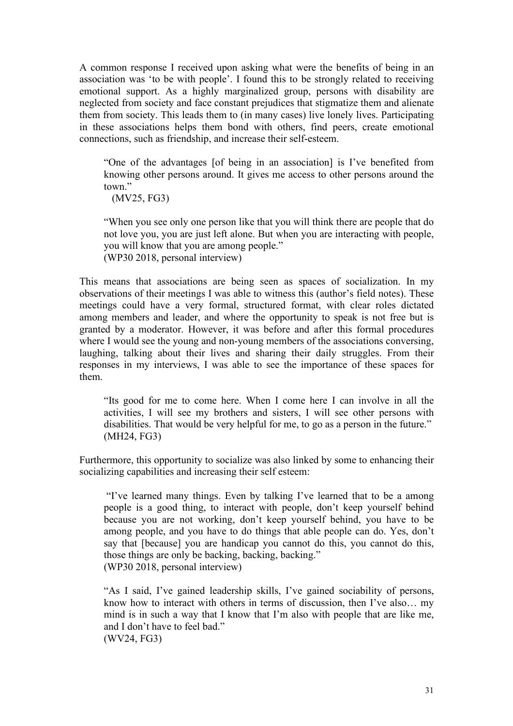A common response I received upon asking what were the benefits of being in an association was 'to be with people'. I found this to be strongly related to receiving emotional support. As a highly marginalized group, persons with disability are neglected from society and face constant prejudices that stigmatize them and alienate them from society. This leads them to (in many cases) live lonely lives. Participating in these associations helps them bond with others, find peers, create emotional connections, such as friendship, and increase their self-esteem.

"One of the advantages [of being in an association] is I've benefited from knowing other persons around. It gives me access to other persons around the town"

(MV25, FG3)

"When you see only one person like that you will think there are people that do not love you, you are just left alone. But when you are interacting with people, you will know that you are among people." (WP30 2018, personal interview)

This means that associations are being seen as spaces of socialization. In my observations of their meetings I was able to witness this (author's field notes). These meetings could have a very formal, structured format, with clear roles dictated among members and leader, and where the opportunity to speak is not free but is granted by a moderator. However, it was before and after this formal procedures where I would see the young and non-young members of the associations conversing, laughing, talking about their lives and sharing their daily struggles. From their responses in my interviews, I was able to see the importance of these spaces for them.

"Its good for me to come here. When I come here I can involve in all the activities, I will see my brothers and sisters, I will see other persons with disabilities. That would be very helpful for me, to go as a person in the future." (MH24, FG3)

Furthermore, this opportunity to socialize was also linked by some to enhancing their socializing capabilities and increasing their self esteem:

"I've learned many things. Even by talking I've learned that to be a among people is a good thing, to interact with people, don't keep yourself behind because you are not working, don't keep yourself behind, you have to be among people, and you have to do things that able people can do. Yes, don't say that [because] you are handicap you cannot do this, you cannot do this, those things are only be backing, backing, backing." (WP30 2018, personal interview)

"As I said, I've gained leadership skills, I've gained sociability of persons, know how to interact with others in terms of discussion, then I've also… my mind is in such a way that I know that I'm also with people that are like me, and I don't have to feel bad." (WV24, FG3)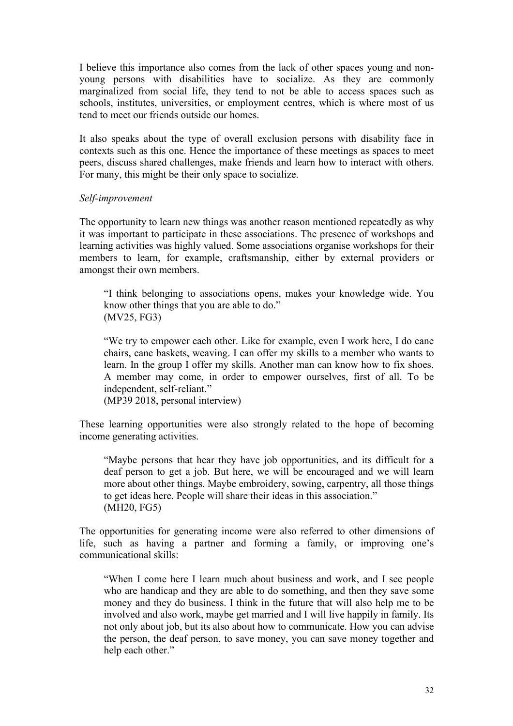I believe this importance also comes from the lack of other spaces young and nonyoung persons with disabilities have to socialize. As they are commonly marginalized from social life, they tend to not be able to access spaces such as schools, institutes, universities, or employment centres, which is where most of us tend to meet our friends outside our homes.

It also speaks about the type of overall exclusion persons with disability face in contexts such as this one. Hence the importance of these meetings as spaces to meet peers, discuss shared challenges, make friends and learn how to interact with others. For many, this might be their only space to socialize.

#### *Self-improvement*

The opportunity to learn new things was another reason mentioned repeatedly as why it was important to participate in these associations. The presence of workshops and learning activities was highly valued. Some associations organise workshops for their members to learn, for example, craftsmanship, either by external providers or amongst their own members.

"I think belonging to associations opens, makes your knowledge wide. You know other things that you are able to do." (MV25, FG3)

"We try to empower each other. Like for example, even I work here, I do cane chairs, cane baskets, weaving. I can offer my skills to a member who wants to learn. In the group I offer my skills. Another man can know how to fix shoes. A member may come, in order to empower ourselves, first of all. To be independent, self-reliant."

(MP39 2018, personal interview)

These learning opportunities were also strongly related to the hope of becoming income generating activities.

"Maybe persons that hear they have job opportunities, and its difficult for a deaf person to get a job. But here, we will be encouraged and we will learn more about other things. Maybe embroidery, sowing, carpentry, all those things to get ideas here. People will share their ideas in this association." (MH20, FG5)

The opportunities for generating income were also referred to other dimensions of life, such as having a partner and forming a family, or improving one's communicational skills:

"When I come here I learn much about business and work, and I see people who are handicap and they are able to do something, and then they save some money and they do business. I think in the future that will also help me to be involved and also work, maybe get married and I will live happily in family. Its not only about job, but its also about how to communicate. How you can advise the person, the deaf person, to save money, you can save money together and help each other."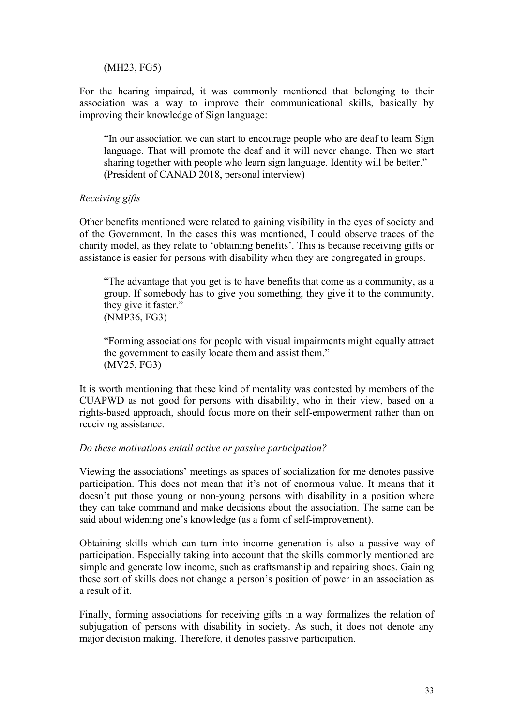#### (MH23, FG5)

For the hearing impaired, it was commonly mentioned that belonging to their association was a way to improve their communicational skills, basically by improving their knowledge of Sign language:

"In our association we can start to encourage people who are deaf to learn Sign language. That will promote the deaf and it will never change. Then we start sharing together with people who learn sign language. Identity will be better." (President of CANAD 2018, personal interview)

### *Receiving gifts*

Other benefits mentioned were related to gaining visibility in the eyes of society and of the Government. In the cases this was mentioned, I could observe traces of the charity model, as they relate to 'obtaining benefits'. This is because receiving gifts or assistance is easier for persons with disability when they are congregated in groups.

"The advantage that you get is to have benefits that come as a community, as a group. If somebody has to give you something, they give it to the community, they give it faster." (NMP36, FG3)

"Forming associations for people with visual impairments might equally attract the government to easily locate them and assist them." (MV25, FG3)

It is worth mentioning that these kind of mentality was contested by members of the CUAPWD as not good for persons with disability, who in their view, based on a rights-based approach, should focus more on their self-empowerment rather than on receiving assistance.

#### *Do these motivations entail active or passive participation?*

Viewing the associations' meetings as spaces of socialization for me denotes passive participation. This does not mean that it's not of enormous value. It means that it doesn't put those young or non-young persons with disability in a position where they can take command and make decisions about the association. The same can be said about widening one's knowledge (as a form of self-improvement).

Obtaining skills which can turn into income generation is also a passive way of participation. Especially taking into account that the skills commonly mentioned are simple and generate low income, such as craftsmanship and repairing shoes. Gaining these sort of skills does not change a person's position of power in an association as a result of it.

Finally, forming associations for receiving gifts in a way formalizes the relation of subjugation of persons with disability in society. As such, it does not denote any major decision making. Therefore, it denotes passive participation.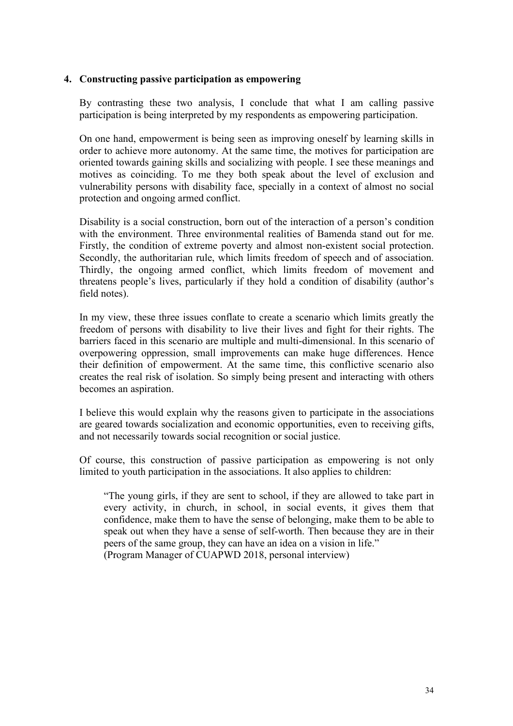#### **4. Constructing passive participation as empowering**

By contrasting these two analysis, I conclude that what I am calling passive participation is being interpreted by my respondents as empowering participation.

On one hand, empowerment is being seen as improving oneself by learning skills in order to achieve more autonomy. At the same time, the motives for participation are oriented towards gaining skills and socializing with people. I see these meanings and motives as coinciding. To me they both speak about the level of exclusion and vulnerability persons with disability face, specially in a context of almost no social protection and ongoing armed conflict.

Disability is a social construction, born out of the interaction of a person's condition with the environment. Three environmental realities of Bamenda stand out for me. Firstly, the condition of extreme poverty and almost non-existent social protection. Secondly, the authoritarian rule, which limits freedom of speech and of association. Thirdly, the ongoing armed conflict, which limits freedom of movement and threatens people's lives, particularly if they hold a condition of disability (author's field notes).

In my view, these three issues conflate to create a scenario which limits greatly the freedom of persons with disability to live their lives and fight for their rights. The barriers faced in this scenario are multiple and multi-dimensional. In this scenario of overpowering oppression, small improvements can make huge differences. Hence their definition of empowerment. At the same time, this conflictive scenario also creates the real risk of isolation. So simply being present and interacting with others becomes an aspiration.

I believe this would explain why the reasons given to participate in the associations are geared towards socialization and economic opportunities, even to receiving gifts, and not necessarily towards social recognition or social justice.

Of course, this construction of passive participation as empowering is not only limited to youth participation in the associations. It also applies to children:

"The young girls, if they are sent to school, if they are allowed to take part in every activity, in church, in school, in social events, it gives them that confidence, make them to have the sense of belonging, make them to be able to speak out when they have a sense of self-worth. Then because they are in their peers of the same group, they can have an idea on a vision in life." (Program Manager of CUAPWD 2018, personal interview)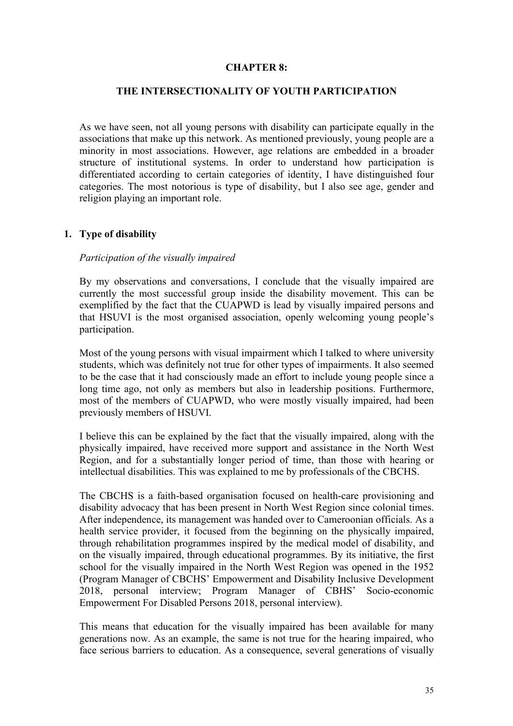#### **CHAPTER 8:**

## **THE INTERSECTIONALITY OF YOUTH PARTICIPATION**

As we have seen, not all young persons with disability can participate equally in the associations that make up this network. As mentioned previously, young people are a minority in most associations. However, age relations are embedded in a broader structure of institutional systems. In order to understand how participation is differentiated according to certain categories of identity, I have distinguished four categories. The most notorious is type of disability, but I also see age, gender and religion playing an important role.

#### **1. Type of disability**

#### *Participation of the visually impaired*

By my observations and conversations, I conclude that the visually impaired are currently the most successful group inside the disability movement. This can be exemplified by the fact that the CUAPWD is lead by visually impaired persons and that HSUVI is the most organised association, openly welcoming young people's participation.

Most of the young persons with visual impairment which I talked to where university students, which was definitely not true for other types of impairments. It also seemed to be the case that it had consciously made an effort to include young people since a long time ago, not only as members but also in leadership positions. Furthermore, most of the members of CUAPWD, who were mostly visually impaired, had been previously members of HSUVI.

I believe this can be explained by the fact that the visually impaired, along with the physically impaired, have received more support and assistance in the North West Region, and for a substantially longer period of time, than those with hearing or intellectual disabilities. This was explained to me by professionals of the CBCHS.

The CBCHS is a faith-based organisation focused on health-care provisioning and disability advocacy that has been present in North West Region since colonial times. After independence, its management was handed over to Cameroonian officials. As a health service provider, it focused from the beginning on the physically impaired, through rehabilitation programmes inspired by the medical model of disability, and on the visually impaired, through educational programmes. By its initiative, the first school for the visually impaired in the North West Region was opened in the 1952 (Program Manager of CBCHS' Empowerment and Disability Inclusive Development 2018, personal interview; Program Manager of CBHS' Socio-economic Empowerment For Disabled Persons 2018, personal interview).

This means that education for the visually impaired has been available for many generations now. As an example, the same is not true for the hearing impaired, who face serious barriers to education. As a consequence, several generations of visually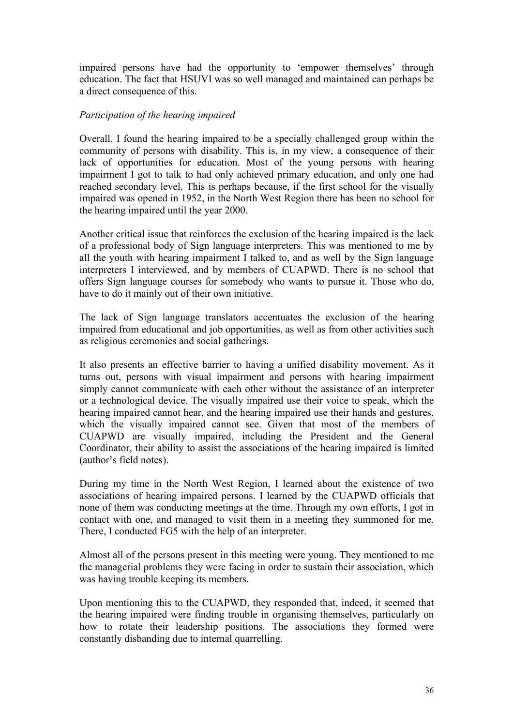impaired persons have had the opportunity to 'empower themselves' through education. The fact that HSUVI was so well managed and maintained can perhaps be a direct consequence of this.

### *Participation of the hearing impaired*

Overall, I found the hearing impaired to be a specially challenged group within the community of persons with disability. This is, in my view, a consequence of their lack of opportunities for education. Most of the young persons with hearing impairment I got to talk to had only achieved primary education, and only one had reached secondary level. This is perhaps because, if the first school for the visually impaired was opened in 1952, in the North West Region there has been no school for the hearing impaired until the year 2000.

Another critical issue that reinforces the exclusion of the hearing impaired is the lack of a professional body of Sign language interpreters. This was mentioned to me by all the youth with hearing impairment I talked to, and as well by the Sign language interpreters I interviewed, and by members of CUAPWD. There is no school that offers Sign language courses for somebody who wants to pursue it. Those who do, have to do it mainly out of their own initiative.

The lack of Sign language translators accentuates the exclusion of the hearing impaired from educational and job opportunities, as well as from other activities such as religious ceremonies and social gatherings.

It also presents an effective barrier to having a unified disability movement. As it turns out, persons with visual impairment and persons with hearing impairment simply cannot communicate with each other without the assistance of an interpreter or a technological device. The visually impaired use their voice to speak, which the hearing impaired cannot hear, and the hearing impaired use their hands and gestures, which the visually impaired cannot see. Given that most of the members of CUAPWD are visually impaired, including the President and the General Coordinator, their ability to assist the associations of the hearing impaired is limited (author's field notes).

During my time in the North West Region, I learned about the existence of two associations of hearing impaired persons. I learned by the CUAPWD officials that none of them was conducting meetings at the time. Through my own efforts, I got in contact with one, and managed to visit them in a meeting they summoned for me. There, I conducted FG5 with the help of an interpreter.

Almost all of the persons present in this meeting were young. They mentioned to me the managerial problems they were facing in order to sustain their association, which was having trouble keeping its members.

Upon mentioning this to the CUAPWD, they responded that, indeed, it seemed that the hearing impaired were finding trouble in organising themselves, particularly on how to rotate their leadership positions. The associations they formed were constantly disbanding due to internal quarrelling.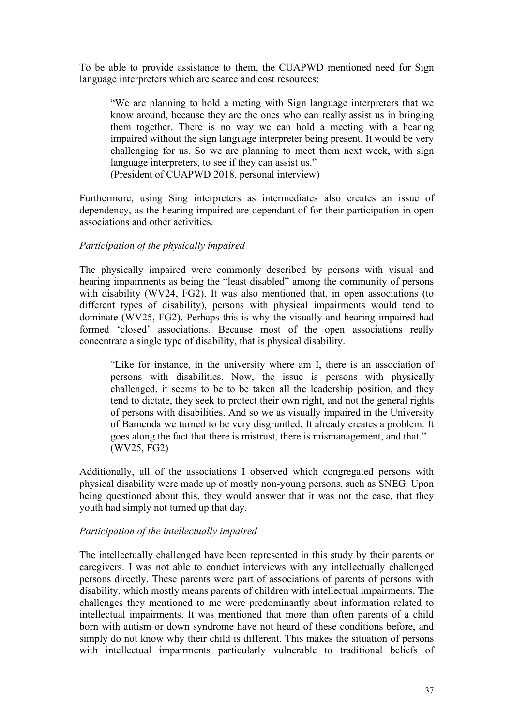To be able to provide assistance to them, the CUAPWD mentioned need for Sign language interpreters which are scarce and cost resources:

"We are planning to hold a meting with Sign language interpreters that we know around, because they are the ones who can really assist us in bringing them together. There is no way we can hold a meeting with a hearing impaired without the sign language interpreter being present. It would be very challenging for us. So we are planning to meet them next week, with sign language interpreters, to see if they can assist us." (President of CUAPWD 2018, personal interview)

Furthermore, using Sing interpreters as intermediates also creates an issue of dependency, as the hearing impaired are dependant of for their participation in open

## *Participation of the physically impaired*

associations and other activities.

The physically impaired were commonly described by persons with visual and hearing impairments as being the "least disabled" among the community of persons with disability (WV24, FG2). It was also mentioned that, in open associations (to different types of disability), persons with physical impairments would tend to dominate (WV25, FG2). Perhaps this is why the visually and hearing impaired had formed 'closed' associations. Because most of the open associations really concentrate a single type of disability, that is physical disability.

"Like for instance, in the university where am I, there is an association of persons with disabilities. Now, the issue is persons with physically challenged, it seems to be to be taken all the leadership position, and they tend to dictate, they seek to protect their own right, and not the general rights of persons with disabilities. And so we as visually impaired in the University of Bamenda we turned to be very disgruntled. It already creates a problem. It goes along the fact that there is mistrust, there is mismanagement, and that." (WV25, FG2)

Additionally, all of the associations I observed which congregated persons with physical disability were made up of mostly non-young persons, such as SNEG. Upon being questioned about this, they would answer that it was not the case, that they youth had simply not turned up that day.

#### *Participation of the intellectually impaired*

The intellectually challenged have been represented in this study by their parents or caregivers. I was not able to conduct interviews with any intellectually challenged persons directly. These parents were part of associations of parents of persons with disability, which mostly means parents of children with intellectual impairments. The challenges they mentioned to me were predominantly about information related to intellectual impairments. It was mentioned that more than often parents of a child born with autism or down syndrome have not heard of these conditions before, and simply do not know why their child is different. This makes the situation of persons with intellectual impairments particularly vulnerable to traditional beliefs of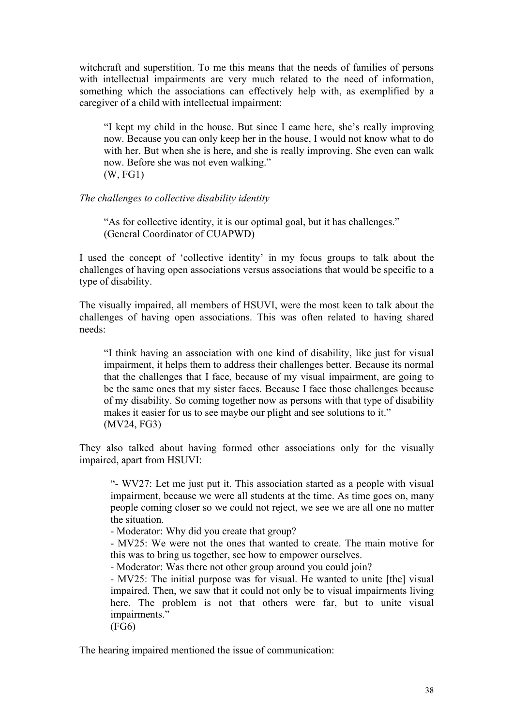witchcraft and superstition. To me this means that the needs of families of persons with intellectual impairments are very much related to the need of information, something which the associations can effectively help with, as exemplified by a caregiver of a child with intellectual impairment:

"I kept my child in the house. But since I came here, she's really improving now. Because you can only keep her in the house, I would not know what to do with her. But when she is here, and she is really improving. She even can walk now. Before she was not even walking." (W, FG1)

#### *The challenges to collective disability identity*

"As for collective identity, it is our optimal goal, but it has challenges." (General Coordinator of CUAPWD)

I used the concept of 'collective identity' in my focus groups to talk about the challenges of having open associations versus associations that would be specific to a type of disability.

The visually impaired, all members of HSUVI, were the most keen to talk about the challenges of having open associations. This was often related to having shared needs:

"I think having an association with one kind of disability, like just for visual impairment, it helps them to address their challenges better. Because its normal that the challenges that I face, because of my visual impairment, are going to be the same ones that my sister faces. Because I face those challenges because of my disability. So coming together now as persons with that type of disability makes it easier for us to see maybe our plight and see solutions to it." (MV24, FG3)

They also talked about having formed other associations only for the visually impaired, apart from HSUVI:

"- WV27: Let me just put it. This association started as a people with visual impairment, because we were all students at the time. As time goes on, many people coming closer so we could not reject, we see we are all one no matter the situation.

- Moderator: Why did you create that group?

- MV25: We were not the ones that wanted to create. The main motive for this was to bring us together, see how to empower ourselves.

- Moderator: Was there not other group around you could join?

- MV25: The initial purpose was for visual. He wanted to unite [the] visual impaired. Then, we saw that it could not only be to visual impairments living here. The problem is not that others were far, but to unite visual impairments."

(FG6)

The hearing impaired mentioned the issue of communication: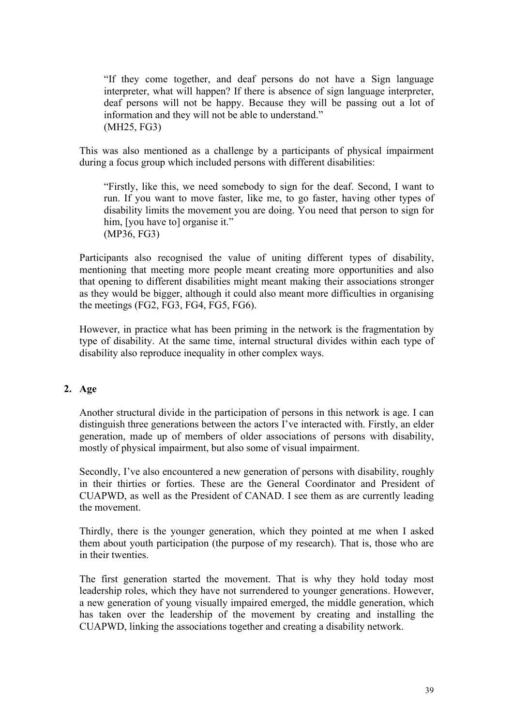"If they come together, and deaf persons do not have a Sign language interpreter, what will happen? If there is absence of sign language interpreter, deaf persons will not be happy. Because they will be passing out a lot of information and they will not be able to understand." (MH25, FG3)

This was also mentioned as a challenge by a participants of physical impairment during a focus group which included persons with different disabilities:

"Firstly, like this, we need somebody to sign for the deaf. Second, I want to run. If you want to move faster, like me, to go faster, having other types of disability limits the movement you are doing. You need that person to sign for him, [you have to] organise it." (MP36, FG3)

Participants also recognised the value of uniting different types of disability, mentioning that meeting more people meant creating more opportunities and also that opening to different disabilities might meant making their associations stronger as they would be bigger, although it could also meant more difficulties in organising the meetings (FG2, FG3, FG4, FG5, FG6).

However, in practice what has been priming in the network is the fragmentation by type of disability. At the same time, internal structural divides within each type of disability also reproduce inequality in other complex ways.

## **2. Age**

Another structural divide in the participation of persons in this network is age. I can distinguish three generations between the actors I've interacted with. Firstly, an elder generation, made up of members of older associations of persons with disability, mostly of physical impairment, but also some of visual impairment.

Secondly, I've also encountered a new generation of persons with disability, roughly in their thirties or forties. These are the General Coordinator and President of CUAPWD, as well as the President of CANAD. I see them as are currently leading the movement.

Thirdly, there is the younger generation, which they pointed at me when I asked them about youth participation (the purpose of my research). That is, those who are in their twenties.

The first generation started the movement. That is why they hold today most leadership roles, which they have not surrendered to younger generations. However, a new generation of young visually impaired emerged, the middle generation, which has taken over the leadership of the movement by creating and installing the CUAPWD, linking the associations together and creating a disability network.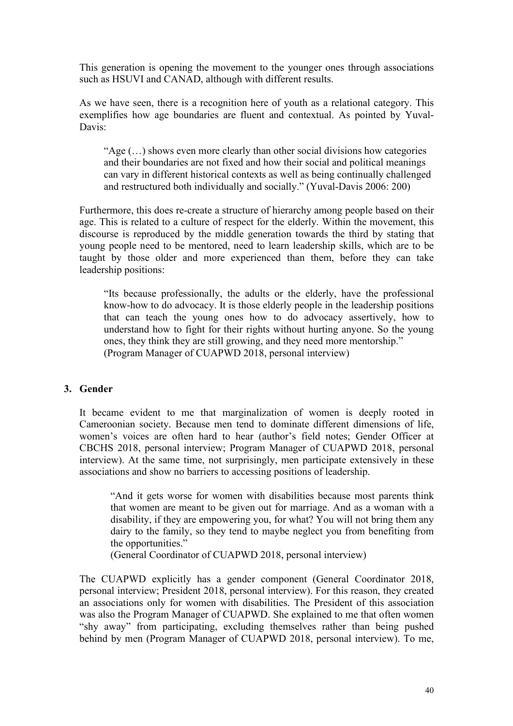This generation is opening the movement to the younger ones through associations such as HSUVI and CANAD, although with different results.

As we have seen, there is a recognition here of youth as a relational category. This exemplifies how age boundaries are fluent and contextual. As pointed by Yuval-Davis:

"Age (…) shows even more clearly than other social divisions how categories and their boundaries are not fixed and how their social and political meanings can vary in different historical contexts as well as being continually challenged and restructured both individually and socially." (Yuval-Davis 2006: 200)

Furthermore, this does re-create a structure of hierarchy among people based on their age. This is related to a culture of respect for the elderly. Within the movement, this discourse is reproduced by the middle generation towards the third by stating that young people need to be mentored, need to learn leadership skills, which are to be taught by those older and more experienced than them, before they can take leadership positions:

"Its because professionally, the adults or the elderly, have the professional know-how to do advocacy. It is those elderly people in the leadership positions that can teach the young ones how to do advocacy assertively, how to understand how to fight for their rights without hurting anyone. So the young ones, they think they are still growing, and they need more mentorship." (Program Manager of CUAPWD 2018, personal interview)

## **3. Gender**

It became evident to me that marginalization of women is deeply rooted in Cameroonian society. Because men tend to dominate different dimensions of life, women's voices are often hard to hear (author's field notes; Gender Officer at CBCHS 2018, personal interview; Program Manager of CUAPWD 2018, personal interview). At the same time, not surprisingly, men participate extensively in these associations and show no barriers to accessing positions of leadership.

"And it gets worse for women with disabilities because most parents think that women are meant to be given out for marriage. And as a woman with a disability, if they are empowering you, for what? You will not bring them any dairy to the family, so they tend to maybe neglect you from benefiting from the opportunities."

(General Coordinator of CUAPWD 2018, personal interview)

The CUAPWD explicitly has a gender component (General Coordinator 2018, personal interview; President 2018, personal interview). For this reason, they created an associations only for women with disabilities. The President of this association was also the Program Manager of CUAPWD. She explained to me that often women "shy away" from participating, excluding themselves rather than being pushed behind by men (Program Manager of CUAPWD 2018, personal interview). To me,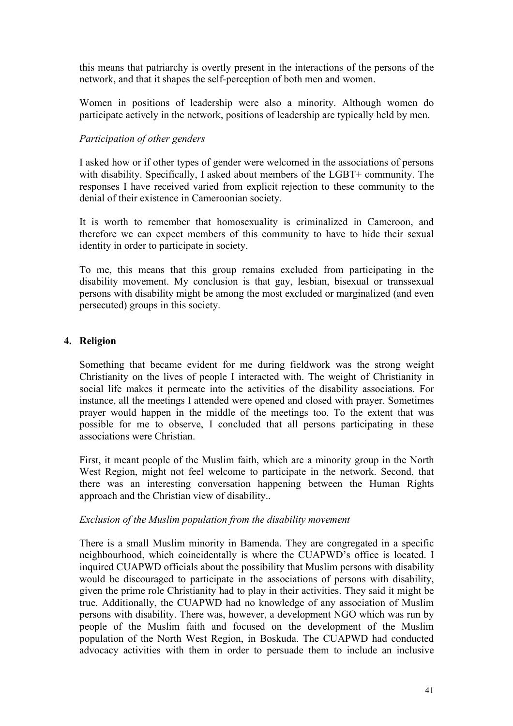this means that patriarchy is overtly present in the interactions of the persons of the network, and that it shapes the self-perception of both men and women.

Women in positions of leadership were also a minority. Although women do participate actively in the network, positions of leadership are typically held by men.

## *Participation of other genders*

I asked how or if other types of gender were welcomed in the associations of persons with disability. Specifically, I asked about members of the LGBT+ community. The responses I have received varied from explicit rejection to these community to the denial of their existence in Cameroonian society.

It is worth to remember that homosexuality is criminalized in Cameroon, and therefore we can expect members of this community to have to hide their sexual identity in order to participate in society.

To me, this means that this group remains excluded from participating in the disability movement. My conclusion is that gay, lesbian, bisexual or transsexual persons with disability might be among the most excluded or marginalized (and even persecuted) groups in this society.

## **4. Religion**

Something that became evident for me during fieldwork was the strong weight Christianity on the lives of people I interacted with. The weight of Christianity in social life makes it permeate into the activities of the disability associations. For instance, all the meetings I attended were opened and closed with prayer. Sometimes prayer would happen in the middle of the meetings too. To the extent that was possible for me to observe, I concluded that all persons participating in these associations were Christian.

First, it meant people of the Muslim faith, which are a minority group in the North West Region, might not feel welcome to participate in the network. Second, that there was an interesting conversation happening between the Human Rights approach and the Christian view of disability..

#### *Exclusion of the Muslim population from the disability movement*

There is a small Muslim minority in Bamenda. They are congregated in a specific neighbourhood, which coincidentally is where the CUAPWD's office is located. I inquired CUAPWD officials about the possibility that Muslim persons with disability would be discouraged to participate in the associations of persons with disability, given the prime role Christianity had to play in their activities. They said it might be true. Additionally, the CUAPWD had no knowledge of any association of Muslim persons with disability. There was, however, a development NGO which was run by people of the Muslim faith and focused on the development of the Muslim population of the North West Region, in Boskuda. The CUAPWD had conducted advocacy activities with them in order to persuade them to include an inclusive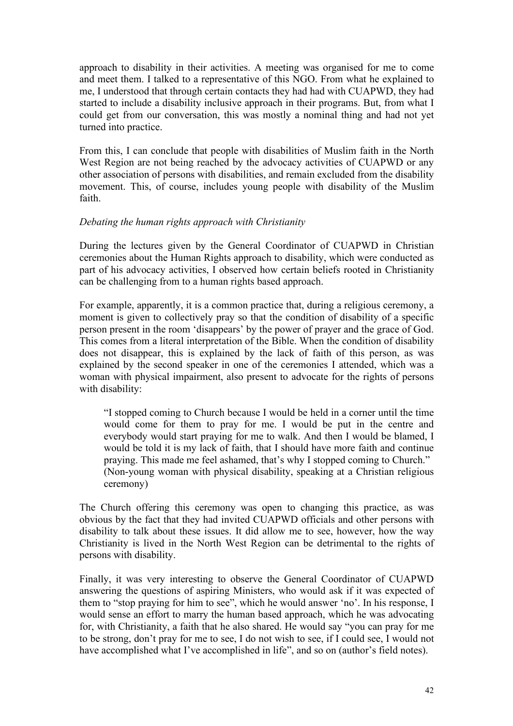approach to disability in their activities. A meeting was organised for me to come and meet them. I talked to a representative of this NGO. From what he explained to me, I understood that through certain contacts they had had with CUAPWD, they had started to include a disability inclusive approach in their programs. But, from what I could get from our conversation, this was mostly a nominal thing and had not yet turned into practice.

From this, I can conclude that people with disabilities of Muslim faith in the North West Region are not being reached by the advocacy activities of CUAPWD or any other association of persons with disabilities, and remain excluded from the disability movement. This, of course, includes young people with disability of the Muslim faith.

## *Debating the human rights approach with Christianity*

During the lectures given by the General Coordinator of CUAPWD in Christian ceremonies about the Human Rights approach to disability, which were conducted as part of his advocacy activities, I observed how certain beliefs rooted in Christianity can be challenging from to a human rights based approach.

For example, apparently, it is a common practice that, during a religious ceremony, a moment is given to collectively pray so that the condition of disability of a specific person present in the room 'disappears' by the power of prayer and the grace of God. This comes from a literal interpretation of the Bible. When the condition of disability does not disappear, this is explained by the lack of faith of this person, as was explained by the second speaker in one of the ceremonies I attended, which was a woman with physical impairment, also present to advocate for the rights of persons with disability:

"I stopped coming to Church because I would be held in a corner until the time would come for them to pray for me. I would be put in the centre and everybody would start praying for me to walk. And then I would be blamed, I would be told it is my lack of faith, that I should have more faith and continue praying. This made me feel ashamed, that's why I stopped coming to Church." (Non-young woman with physical disability, speaking at a Christian religious ceremony)

The Church offering this ceremony was open to changing this practice, as was obvious by the fact that they had invited CUAPWD officials and other persons with disability to talk about these issues. It did allow me to see, however, how the way Christianity is lived in the North West Region can be detrimental to the rights of persons with disability.

Finally, it was very interesting to observe the General Coordinator of CUAPWD answering the questions of aspiring Ministers, who would ask if it was expected of them to "stop praying for him to see", which he would answer 'no'. In his response, I would sense an effort to marry the human based approach, which he was advocating for, with Christianity, a faith that he also shared. He would say "you can pray for me to be strong, don't pray for me to see, I do not wish to see, if I could see, I would not have accomplished what I've accomplished in life", and so on (author's field notes).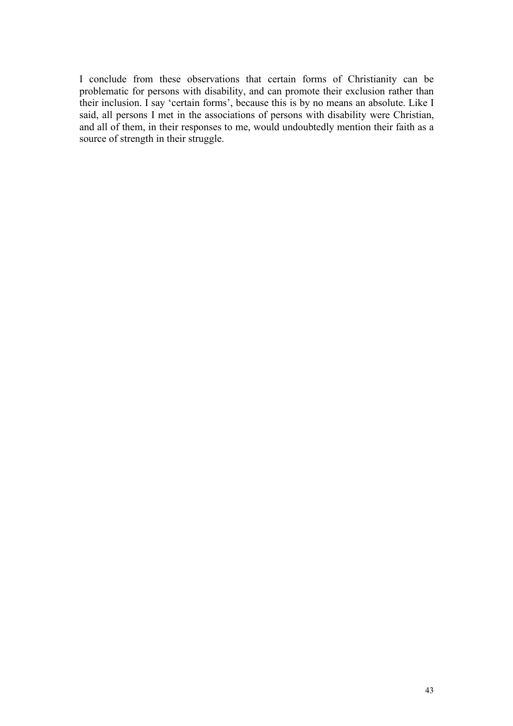I conclude from these observations that certain forms of Christianity can be problematic for persons with disability, and can promote their exclusion rather than their inclusion. I say 'certain forms', because this is by no means an absolute. Like I said, all persons I met in the associations of persons with disability were Christian, and all of them, in their responses to me, would undoubtedly mention their faith as a source of strength in their struggle.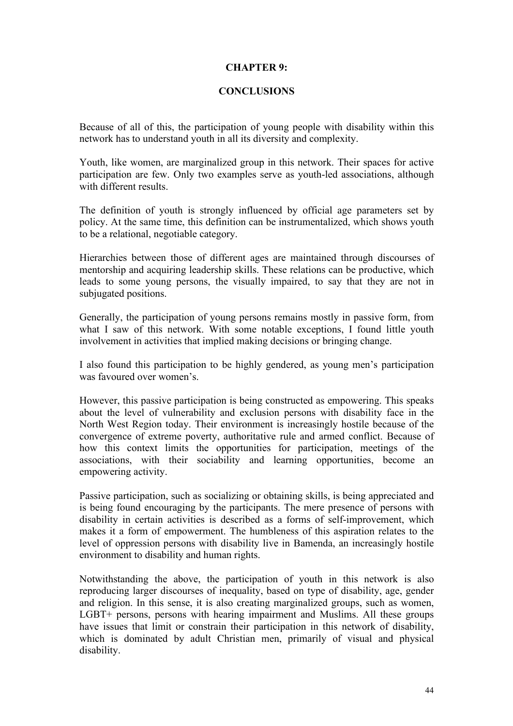#### **CHAPTER 9:**

### **CONCLUSIONS**

Because of all of this, the participation of young people with disability within this network has to understand youth in all its diversity and complexity.

Youth, like women, are marginalized group in this network. Their spaces for active participation are few. Only two examples serve as youth-led associations, although with different results.

The definition of youth is strongly influenced by official age parameters set by policy. At the same time, this definition can be instrumentalized, which shows youth to be a relational, negotiable category.

Hierarchies between those of different ages are maintained through discourses of mentorship and acquiring leadership skills. These relations can be productive, which leads to some young persons, the visually impaired, to say that they are not in subjugated positions.

Generally, the participation of young persons remains mostly in passive form, from what I saw of this network. With some notable exceptions, I found little youth involvement in activities that implied making decisions or bringing change.

I also found this participation to be highly gendered, as young men's participation was favoured over women's.

However, this passive participation is being constructed as empowering. This speaks about the level of vulnerability and exclusion persons with disability face in the North West Region today. Their environment is increasingly hostile because of the convergence of extreme poverty, authoritative rule and armed conflict. Because of how this context limits the opportunities for participation, meetings of the associations, with their sociability and learning opportunities, become an empowering activity.

Passive participation, such as socializing or obtaining skills, is being appreciated and is being found encouraging by the participants. The mere presence of persons with disability in certain activities is described as a forms of self-improvement, which makes it a form of empowerment. The humbleness of this aspiration relates to the level of oppression persons with disability live in Bamenda, an increasingly hostile environment to disability and human rights.

Notwithstanding the above, the participation of youth in this network is also reproducing larger discourses of inequality, based on type of disability, age, gender and religion. In this sense, it is also creating marginalized groups, such as women, LGBT+ persons, persons with hearing impairment and Muslims. All these groups have issues that limit or constrain their participation in this network of disability, which is dominated by adult Christian men, primarily of visual and physical disability.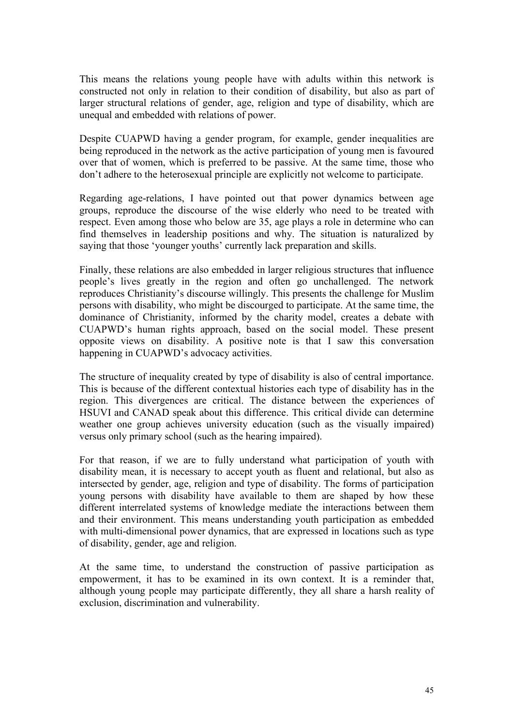This means the relations young people have with adults within this network is constructed not only in relation to their condition of disability, but also as part of larger structural relations of gender, age, religion and type of disability, which are unequal and embedded with relations of power.

Despite CUAPWD having a gender program, for example, gender inequalities are being reproduced in the network as the active participation of young men is favoured over that of women, which is preferred to be passive. At the same time, those who don't adhere to the heterosexual principle are explicitly not welcome to participate.

Regarding age-relations, I have pointed out that power dynamics between age groups, reproduce the discourse of the wise elderly who need to be treated with respect. Even among those who below are 35, age plays a role in determine who can find themselves in leadership positions and why. The situation is naturalized by saying that those 'younger youths' currently lack preparation and skills.

Finally, these relations are also embedded in larger religious structures that influence people's lives greatly in the region and often go unchallenged. The network reproduces Christianity's discourse willingly. This presents the challenge for Muslim persons with disability, who might be discourged to participate. At the same time, the dominance of Christianity, informed by the charity model, creates a debate with CUAPWD's human rights approach, based on the social model. These present opposite views on disability. A positive note is that I saw this conversation happening in CUAPWD's advocacy activities.

The structure of inequality created by type of disability is also of central importance. This is because of the different contextual histories each type of disability has in the region. This divergences are critical. The distance between the experiences of HSUVI and CANAD speak about this difference. This critical divide can determine weather one group achieves university education (such as the visually impaired) versus only primary school (such as the hearing impaired).

For that reason, if we are to fully understand what participation of youth with disability mean, it is necessary to accept youth as fluent and relational, but also as intersected by gender, age, religion and type of disability. The forms of participation young persons with disability have available to them are shaped by how these different interrelated systems of knowledge mediate the interactions between them and their environment. This means understanding youth participation as embedded with multi-dimensional power dynamics, that are expressed in locations such as type of disability, gender, age and religion.

At the same time, to understand the construction of passive participation as empowerment, it has to be examined in its own context. It is a reminder that, although young people may participate differently, they all share a harsh reality of exclusion, discrimination and vulnerability.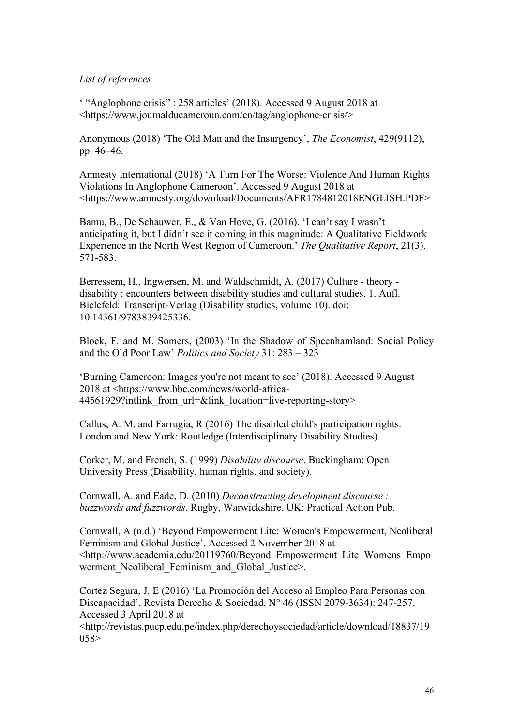#### *List of references*

' "Anglophone crisis" : 258 articles' (2018). Accessed 9 August 2018 at <https://www.journalducameroun.com/en/tag/anglophone-crisis/>

Anonymous (2018) 'The Old Man and the Insurgency', *The Economist*, 429(9112), pp. 46–46.

Amnesty International (2018) 'A Turn For The Worse: Violence And Human Rights Violations In Anglophone Cameroon'. Accessed 9 August 2018 at <https://www.amnesty.org/download/Documents/AFR1784812018ENGLISH.PDF>

Bamu, B., De Schauwer, E., & Van Hove, G. (2016). 'I can't say I wasn't anticipating it, but I didn't see it coming in this magnitude: A Qualitative Fieldwork Experience in the North West Region of Cameroon.' *The Qualitative Report*, 21(3), 571-583.

Berressem, H., Ingwersen, M. and Waldschmidt, A. (2017) Culture - theory disability : encounters between disability studies and cultural studies. 1. Aufl. Bielefeld: Transcript-Verlag (Disability studies, volume 10). doi: 10.14361/9783839425336.

Block, F. and M. Somers, (2003) 'In the Shadow of Speenhamland: Social Policy and the Old Poor Law' *Politics and Society* 31: 283 – 323

'Burning Cameroon: Images you're not meant to see' (2018). Accessed 9 August 2018 at <https://www.bbc.com/news/world-africa-44561929?intlink from url=&link location=live-reporting-story>

Callus, A. M. and Farrugia, R (2016) The disabled child's participation rights. London and New York: Routledge (Interdisciplinary Disability Studies).

Corker, M. and French, S. (1999) *Disability discourse*. Buckingham: Open University Press (Disability, human rights, and society).

Cornwall, A. and Eade, D. (2010) *Deconstructing development discourse : buzzwords and fuzzwords*. Rugby, Warwickshire, UK: Practical Action Pub.

Cornwall, A (n.d.) 'Beyond Empowerment Lite: Women's Empowerment, Neoliberal Feminism and Global Justice'. Accessed 2 November 2018 at <http://www.academia.edu/20119760/Beyond\_Empowerment\_Lite\_Womens\_Empo werment Neoliberal Feminism and Global Justice>.

Cortez Segura, J. E (2016) 'La Promoción del Acceso al Empleo Para Personas con Discapacidad', Revista Derecho & Sociedad, N° 46 (ISSN 2079-3634): 247-257. Accessed 3 April 2018 at

<http://revistas.pucp.edu.pe/index.php/derechoysociedad/article/download/18837/19  $058>$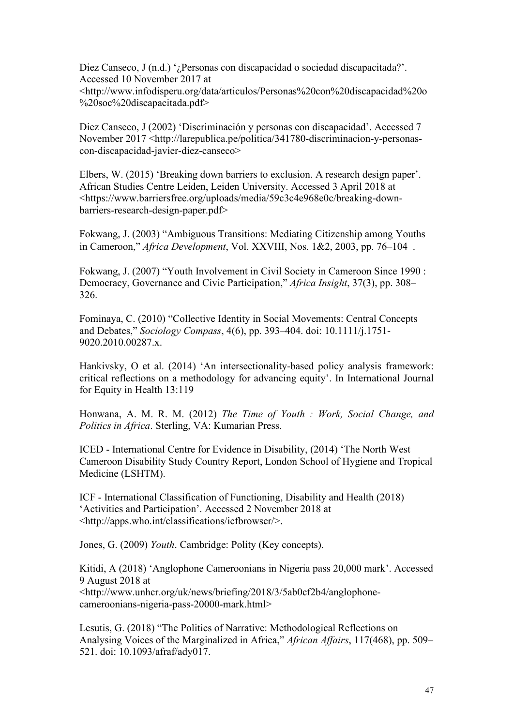Diez Canseco, J (n.d.) '¿Personas con discapacidad o sociedad discapacitada?'. Accessed 10 November 2017 at <http://www.infodisperu.org/data/articulos/Personas%20con%20discapacidad%20o %20soc%20discapacitada.pdf>

Diez Canseco, J (2002) 'Discriminación y personas con discapacidad'. Accessed 7 November 2017 <http://larepublica.pe/politica/341780-discriminacion-y-personascon-discapacidad-javier-diez-canseco>

Elbers, W. (2015) 'Breaking down barriers to exclusion. A research design paper'. African Studies Centre Leiden, Leiden University. Accessed 3 April 2018 at <https://www.barriersfree.org/uploads/media/59c3c4e968e0c/breaking-downbarriers-research-design-paper.pdf>

Fokwang, J. (2003) "Ambiguous Transitions: Mediating Citizenship among Youths in Cameroon," *Africa Development*, Vol. XXVIII, Nos. 1&2, 2003, pp. 76–104 .

Fokwang, J. (2007) "Youth Involvement in Civil Society in Cameroon Since 1990 : Democracy, Governance and Civic Participation," *Africa Insight*, 37(3), pp. 308– 326.

Fominaya, C. (2010) "Collective Identity in Social Movements: Central Concepts and Debates," *Sociology Compass*, 4(6), pp. 393–404. doi: 10.1111/j.1751- 9020.2010.00287.x.

Hankivsky, O et al. (2014) 'An intersectionality-based policy analysis framework: critical reflections on a methodology for advancing equity'. In International Journal for Equity in Health 13:119

Honwana, A. M. R. M. (2012) *The Time of Youth : Work, Social Change, and Politics in Africa*. Sterling, VA: Kumarian Press.

ICED - International Centre for Evidence in Disability, (2014) 'The North West Cameroon Disability Study Country Report, London School of Hygiene and Tropical Medicine (LSHTM).

ICF - International Classification of Functioning, Disability and Health (2018) 'Activities and Participation'. Accessed 2 November 2018 at <http://apps.who.int/classifications/icfbrowser/>.

Jones, G. (2009) *Youth*. Cambridge: Polity (Key concepts).

Kitidi, A (2018) 'Anglophone Cameroonians in Nigeria pass 20,000 mark'. Accessed 9 August 2018 at

<http://www.unhcr.org/uk/news/briefing/2018/3/5ab0cf2b4/anglophonecameroonians-nigeria-pass-20000-mark.html>

Lesutis, G. (2018) "The Politics of Narrative: Methodological Reflections on Analysing Voices of the Marginalized in Africa," *African Affairs*, 117(468), pp. 509– 521. doi: 10.1093/afraf/ady017.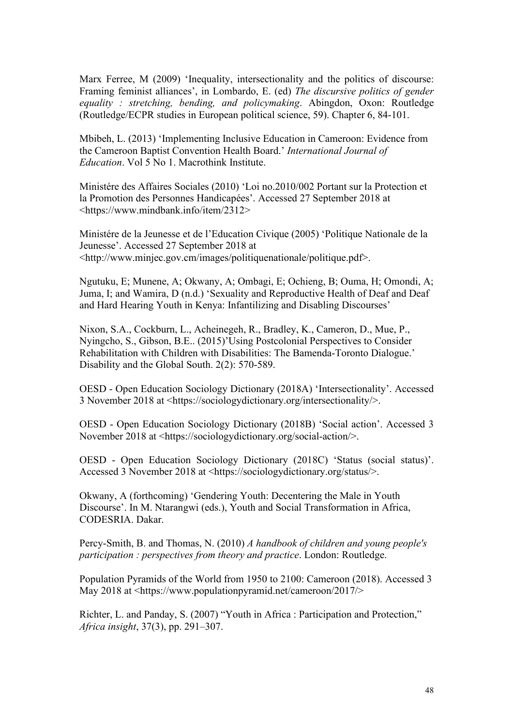Marx Ferree, M (2009) 'Inequality, intersectionality and the politics of discourse: Framing feminist alliances', in Lombardo, E. (ed) *The discursive politics of gender equality : stretching, bending, and policymaking*. Abingdon, Oxon: Routledge (Routledge/ECPR studies in European political science, 59). Chapter 6, 84-101.

Mbibeh, L. (2013) 'Implementing Inclusive Education in Cameroon: Evidence from the Cameroon Baptist Convention Health Board.' *International Journal of Education*. Vol 5 No 1. Macrothink Institute.

Ministére des Affaires Sociales (2010) 'Loi no.2010/002 Portant sur la Protection et la Promotion des Personnes Handicapées'. Accessed 27 September 2018 at <https://www.mindbank.info/item/2312>

Ministére de la Jeunesse et de l'Education Civique (2005) 'Politique Nationale de la Jeunesse'. Accessed 27 September 2018 at <http://www.minjec.gov.cm/images/politiquenationale/politique.pdf>.

Ngutuku, E; Munene, A; Okwany, A; Ombagi, E; Ochieng, B; Ouma, H; Omondi, A; Juma, I; and Wamira, D (n.d.) 'Sexuality and Reproductive Health of Deaf and Deaf and Hard Hearing Youth in Kenya: Infantilizing and Disabling Discourses'

Nixon, S.A., Cockburn, L., Acheinegeh, R., Bradley, K., Cameron, D., Mue, P., Nyingcho, S., Gibson, B.E.. (2015)'Using Postcolonial Perspectives to Consider Rehabilitation with Children with Disabilities: The Bamenda-Toronto Dialogue.' Disability and the Global South. 2(2): 570-589.

OESD - Open Education Sociology Dictionary (2018A) 'Intersectionality'. Accessed 3 November 2018 at <https://sociologydictionary.org/intersectionality/>.

OESD - Open Education Sociology Dictionary (2018B) 'Social action'. Accessed 3 November 2018 at <https://sociologydictionary.org/social-action/>.

OESD - Open Education Sociology Dictionary (2018C) 'Status (social status)'. Accessed 3 November 2018 at <https://sociologydictionary.org/status/>.

Okwany, A (forthcoming) 'Gendering Youth: Decentering the Male in Youth Discourse'. In M. Ntarangwi (eds.), Youth and Social Transformation in Africa, CODESRIA. Dakar.

Percy-Smith, B. and Thomas, N. (2010) *A handbook of children and young people's participation : perspectives from theory and practice*. London: Routledge.

Population Pyramids of the World from 1950 to 2100: Cameroon (2018). Accessed 3 May 2018 at <https://www.populationpyramid.net/cameroon/2017/>

Richter, L. and Panday, S. (2007) "Youth in Africa : Participation and Protection," *Africa insight*, 37(3), pp. 291–307.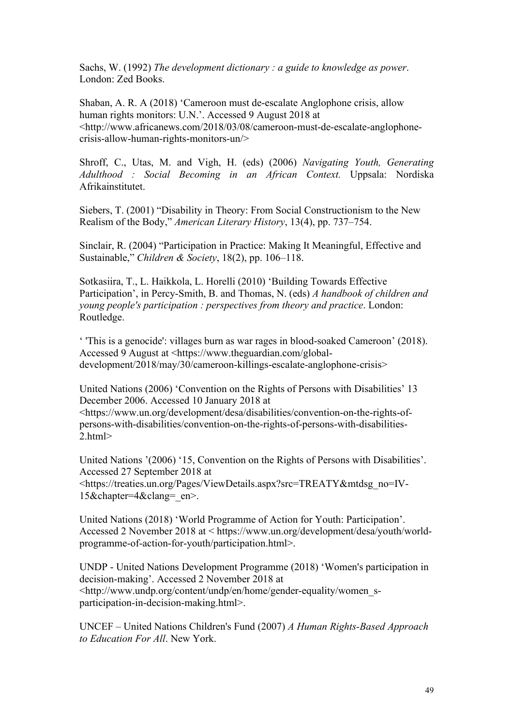Sachs, W. (1992) *The development dictionary : a guide to knowledge as power*. London: Zed Books.

Shaban, A. R. A (2018) 'Cameroon must de-escalate Anglophone crisis, allow human rights monitors: U.N.'. Accessed 9 August 2018 at <http://www.africanews.com/2018/03/08/cameroon-must-de-escalate-anglophonecrisis-allow-human-rights-monitors-un/>

Shroff, C., Utas, M. and Vigh, H. (eds) (2006) *Navigating Youth, Generating Adulthood : Social Becoming in an African Context.* Uppsala: Nordiska Afrikainstitutet.

Siebers, T. (2001) "Disability in Theory: From Social Constructionism to the New Realism of the Body," *American Literary History*, 13(4), pp. 737–754.

Sinclair, R. (2004) "Participation in Practice: Making It Meaningful, Effective and Sustainable," *Children & Society*, 18(2), pp. 106–118.

Sotkasiira, T., L. Haikkola, L. Horelli (2010) 'Building Towards Effective Participation', in Percy-Smith, B. and Thomas, N. (eds) *A handbook of children and young people's participation : perspectives from theory and practice*. London: Routledge.

' 'This is a genocide': villages burn as war rages in blood-soaked Cameroon' (2018). Accessed 9 August at <https://www.theguardian.com/globaldevelopment/2018/may/30/cameroon-killings-escalate-anglophone-crisis>

United Nations (2006) 'Convention on the Rights of Persons with Disabilities' 13 December 2006. Accessed 10 January 2018 at <https://www.un.org/development/desa/disabilities/convention-on-the-rights-of-

persons-with-disabilities/convention-on-the-rights-of-persons-with-disabilities-2.html>

United Nations '(2006) '15, Convention on the Rights of Persons with Disabilities'. Accessed 27 September 2018 at <https://treaties.un.org/Pages/ViewDetails.aspx?src=TREATY&mtdsg\_no=IV-15&chapter=4&clang=\_en>.

United Nations (2018) 'World Programme of Action for Youth: Participation'. Accessed 2 November 2018 at < https://www.un.org/development/desa/youth/worldprogramme-of-action-for-youth/participation.html>.

UNDP - United Nations Development Programme (2018) 'Women's participation in decision-making'. Accessed 2 November 2018 at <http://www.undp.org/content/undp/en/home/gender-equality/women\_sparticipation-in-decision-making.html>.

UNCEF – United Nations Children's Fund (2007) *A Human Rights-Based Approach to Education For All*. New York.